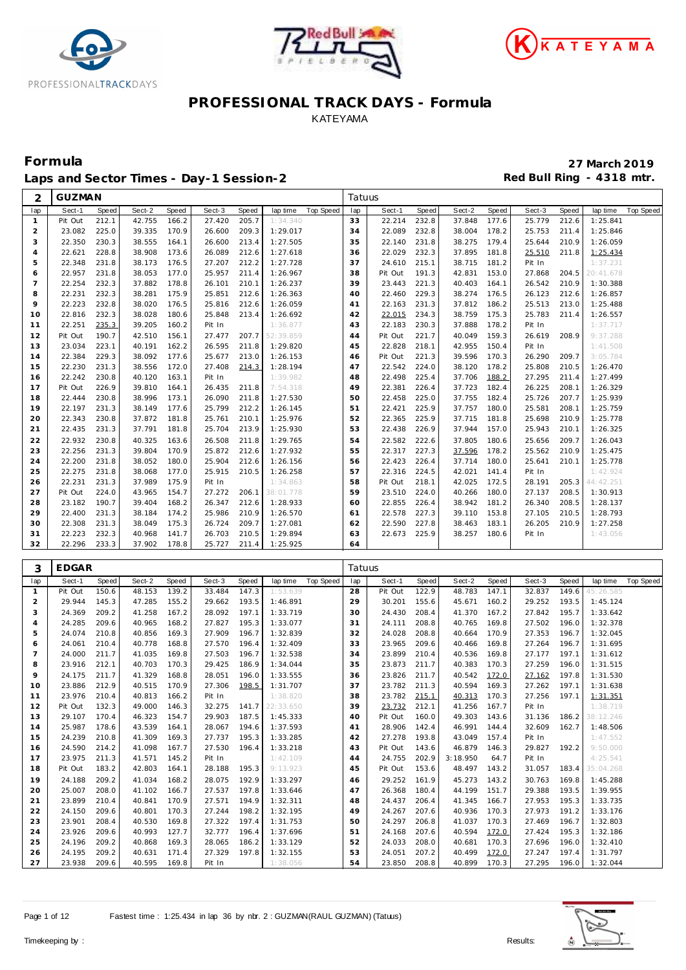





Laps and Sector Times - Day-1 Session-2 **Accord Payment Accord Payment Accord Payment Accord Payment Accord Payment Accord Payment Accord Payment Accord Payment Accord Payment Accord Payment Accord Payment Accord Payment A** 

| 2              | <b>GUZMAN</b> |              |        |       |        |              |                              | Tatuus   |         |       |        |       |        |                |           |                  |
|----------------|---------------|--------------|--------|-------|--------|--------------|------------------------------|----------|---------|-------|--------|-------|--------|----------------|-----------|------------------|
| lap            | Sect-1        | <b>Speed</b> | Sect-2 | Speed | Sect-3 | <b>Speed</b> | Top Speed<br>lap time        | lap      | Sect-1  | Speed | Sect-2 | Speed | Sect-3 | <b>Speed</b>   | lap time  | <b>Top Speed</b> |
| $\mathbf{1}$   | Pit Out       | 212.1        | 42.755 | 166.2 | 27.420 | 205.7        | 1:34.340                     | 33       | 22.214  | 232.8 | 37.848 | 177.6 | 25.779 | 212.6          | 1:25.841  |                  |
| $\overline{a}$ | 23.082        | 225.0        | 39.335 | 170.9 | 26.600 | 209.3        | 1:29.017                     | 34       | 22.089  | 232.8 | 38.004 | 178.2 | 25.753 | 211.4          | 1:25.846  |                  |
| 3              | 22.350        | 230.3        | 38.555 | 164.1 | 26.600 | 213.4        | 1:27.505                     | 35       | 22.140  | 231.8 | 38.275 | 179.4 | 25.644 | 210.9          | 1:26.059  |                  |
| $\overline{4}$ | 22.621        | 228.8        | 38.908 | 173.6 | 26.089 | 212.6        | 1:27.618                     | 36       | 22.029  | 232.3 | 37.895 | 181.8 | 25.510 | 211.8          | 1:25.434  |                  |
| 5              | 22.348        | 231.8        | 38.173 | 176.5 | 27.207 | 212.2        | 1:27.728                     | 37       | 24.610  | 215.1 | 38.715 | 181.2 | Pit In |                | 1:37.231  |                  |
| 6              | 22.957        | 231.8        | 38.053 | 177.0 | 25.957 | 211.4        | 1:26.967                     | 38       | Pit Out | 191.3 | 42.831 | 153.0 | 27.868 | 204.5          | 20:41.678 |                  |
| $\overline{7}$ | 22.254        | 232.3        | 37.882 | 178.8 | 26.101 | 210.1        | 1:26.237                     | 39       | 23.443  | 221.3 | 40.403 | 164.1 | 26.542 | 210.9          | 1:30.388  |                  |
| 8              | 22.231        | 232.3        | 38.281 | 175.9 | 25.851 | 212.6        | 1:26.363                     | 40       | 22.460  | 229.3 | 38.274 | 176.5 | 26.123 | 212.6          | 1:26.857  |                  |
| 9              | 22.223        | 232.8        | 38.020 | 176.5 | 25.816 | 212.6        | 1:26.059                     | 41       | 22.163  | 231.3 | 37.812 | 186.2 | 25.513 | 213.0          | 1:25.488  |                  |
| 10             | 22.816        | 232.3        | 38.028 | 180.6 | 25.848 | 213.4        | 1:26.692                     | 42       | 22.015  | 234.3 | 38.759 | 175.3 | 25.783 | 211.4          | 1:26.557  |                  |
| 11             | 22.251        | 235.3        | 39.205 | 160.2 | Pit In |              | 1:36.877                     | 43       | 22.183  | 230.3 | 37.888 | 178.2 | Pit In |                | 1:37.717  |                  |
| 12             | Pit Out       | 190.7        | 42.510 | 156.1 | 27.477 | 207.7        | 52:39.859                    | 44       | Pit Out | 221.7 | 40.049 | 159.3 | 26.619 | 208.9          | 9:37.288  |                  |
| 13             | 23.034        | 223.1        | 40.191 | 162.2 | 26.595 | 211.8        | 1:29.820                     | 45       | 22.828  | 218.1 | 42.955 | 150.4 | Pit In |                | 1:41.508  |                  |
| 14             | 22.384        | 229.3        | 38.092 | 177.6 | 25.677 | 213.0        | 1:26.153                     | 46       | Pit Out | 221.3 | 39.596 | 170.3 | 26.290 | 209.7          | 3:05.784  |                  |
| 15             | 22.230        | 231.3        | 38.556 | 172.0 | 27.408 | 214.3        | 1:28.194                     | 47       | 22.542  | 224.0 | 38.120 | 178.2 | 25.808 | 210.5          | 1:26.470  |                  |
| 16             | 22.242        | 230.8        | 40.120 | 163.1 | Pit In |              | 1:39.982                     | 48       | 22.498  | 225.4 | 37.706 | 188.2 | 27.295 | 211.4          | 1:27.499  |                  |
| 17             | Pit Out       | 226.9        | 39.810 | 164.1 | 26.435 | 211.8        | 7:54.318                     | 49       | 22.381  | 226.4 | 37.723 | 182.4 | 26.225 | 208.1          | 1:26.329  |                  |
| 18             | 22.444        | 230.8        | 38.996 | 173.1 | 26.090 | 211.8        | 1:27.530                     | 50       | 22.458  | 225.0 | 37.755 | 182.4 | 25.726 | 207.7          | 1:25.939  |                  |
| 19             | 22.197        | 231.3        | 38.149 | 177.6 | 25.799 | 212.2        | 1:26.145                     | 51       | 22.421  | 225.9 | 37.757 | 180.0 | 25.581 | 208.1          | 1:25.759  |                  |
| 20             | 22.343        | 230.8        | 37.872 | 181.8 | 25.761 | 210.1        | 1:25.976                     | 52       | 22.365  | 225.9 | 37.715 | 181.8 | 25.698 | 210.9          | 1:25.778  |                  |
| 21             | 22.435        | 231.3        | 37.791 | 181.8 | 25.704 | 213.9        | 1:25.930                     | 53       | 22.438  | 226.9 | 37.944 | 157.0 | 25.943 | 210.1          | 1:26.325  |                  |
| 22             | 22.932        | 230.8        | 40.325 | 163.6 | 26.508 | 211.8        | 1:29.765                     | 54       | 22.582  | 222.6 | 37.805 | 180.6 | 25.656 | 209.7          | 1:26.043  |                  |
| 23             | 22.256        | 231.3        | 39.804 | 170.9 | 25.872 | 212.6        | 1:27.932                     | 55       | 22.317  | 227.3 | 37.596 | 178.2 | 25.562 | 210.9          | 1:25.475  |                  |
| 24             | 22.200        | 231.8        | 38.052 | 180.0 | 25.904 | 212.6        | 1:26.156                     | 56       | 22.423  | 226.4 | 37.714 | 180.0 | 25.641 | 210.1          | 1:25.778  |                  |
| 25             | 22.275        | 231.8        | 38.068 | 177.0 | 25.915 | 210.5        | 1:26.258                     | 57       | 22.316  | 224.5 | 42.021 | 141.4 | Pit In |                | 1:42.924  |                  |
| 26             | 22.231        | 231.3        | 37.989 | 175.9 | Pit In |              | 1:34.863                     | 58       | Pit Out | 218.1 | 42.025 | 172.5 | 28.191 | 205.3          | 44:42.251 |                  |
| 27             | Pit Out       | 224.0        | 43.965 | 154.7 | 27.272 | 206.1        | 38:01.778                    | 59       | 23.510  | 224.0 | 40.266 | 180.0 | 27.137 | 208.5          | 1:30.913  |                  |
| 28             | 23.182        | 190.7        | 39.404 | 168.2 | 26.347 | 212.6        | 1:28.933                     | 60       | 22.855  | 226.4 | 38.942 | 181.2 | 26.340 | 208.5          | 1:28.137  |                  |
| 29             | 22.400        | 231.3        | 38.184 | 174.2 | 25.986 | 210.9        | 1:26.570                     | 61       | 22.578  | 227.3 | 39.110 | 153.8 | 27.105 | 210.5          | 1:28.793  |                  |
| 30             | 22.308        | 231.3        | 38.049 | 175.3 | 26.724 | 209.7        | 1:27.081                     | 62       | 22.590  | 227.8 | 38.463 | 183.1 | 26.205 | 210.9          | 1:27.258  |                  |
| 31             | 22.223        | 232.3        | 40.968 | 141.7 | 26.703 | 210.5        | 1:29.894                     | 63<br>64 | 22.673  | 225.9 | 38.257 | 180.6 | Pit In |                | 1:43.056  |                  |
| 32             | 22.296        | 233.3        | 37.902 | 178.8 | 25.727 | 211.4        | 1:25.925                     |          |         |       |        |       |        |                |           |                  |
|                | <b>EDGAR</b>  |              |        |       |        |              |                              |          |         |       |        |       |        |                |           |                  |
| 3              |               |              |        |       |        |              |                              | Tatuus   |         |       |        |       |        |                |           |                  |
| lap            | Sect-1        | Speed        | Sect-2 | Speed | Sect-3 | Speed        | lap time<br><b>Top Speed</b> | lap      | Sect-1  | Speed | Sect-2 | Speed | Sect-3 | Speed          | lap time  | <b>Top Speed</b> |
| $\mathbf{1}$   | Pit Out       | 150.6        | 48.153 | 139.2 | 33.484 | 147.3        | 1:53.639                     | 28       | Pit Out | 122.9 | 48.783 | 147.1 | 32.837 | 149.6          | 45:26.585 |                  |
| $\overline{c}$ | 29.944        | 145.3        | 47.285 | 155.2 | 29.662 | 193.5        | 1:46.891                     | 29       | 30.201  | 155.6 | 45.671 | 160.2 | 29.252 | 193.5<br>195.7 | 1:45.124  |                  |
| 3              | 24.369        | 209.2        | 41.258 | 167.2 | 28.092 | 197.1        | 1:33.719                     | 30       | 24.430  | 208.4 | 41.370 | 167.2 | 27.842 |                | 1:33.642  |                  |
| 4              | 24.285        | 209.6        | 40.965 | 168.2 | 27.827 | 195.3        | 1:33.077                     | 31       | 24.111  | 208.8 | 40.765 | 169.8 | 27.502 | 196.0          | 1:32.378  |                  |
| 5              | 24.074        | 210.8        | 40.856 | 169.3 | 27.909 | 196.7        | 1:32.839                     | 32       | 24.028  | 208.8 | 40.664 | 170.9 | 27.353 | 196.7          | 1:32.045  |                  |
| 6              | 24.061        | 210.4        | 40.778 | 168.8 | 27.570 | 196.4        | 1:32.409                     | 33       | 23.965  | 209.6 | 40.466 | 169.8 | 27.264 | 196.7          | 1:31.695  |                  |
| $\overline{7}$ | 24.000        | 211.7        | 41.035 | 169.8 | 27.503 | 196.7        | 1:32.538                     | 34       | 23.899  | 210.4 | 40.536 | 169.8 | 27.177 | 197.1          | 1:31.612  |                  |
| 8              | 23.916        | 212.1        | 40.703 | 170.3 | 29.425 | 186.9        | 1:34.044                     | 35       | 23.873  | 211.7 | 40.383 | 170.3 | 27.259 | 196.0          | 1:31.515  |                  |

| ◡  | 24. UU I | 210.4 | 40. <i>I I</i> O | 100.0 | 21.910 | 170.4 | 1.92.407        | ں ں | 20.700  | 207.0 | 40.400   | 107.0 | 21.204 | 170.1 | 1. JI. U 7J |
|----|----------|-------|------------------|-------|--------|-------|-----------------|-----|---------|-------|----------|-------|--------|-------|-------------|
|    | 24.000   | 211.7 | 41.035           | 169.8 | 27.503 | 196.7 | 1:32.538        | 34  | 23.899  | 210.4 | 40.536   | 169.8 | 27.177 | 197.1 | 1:31.612    |
| 8  | 23.916   | 212.1 | 40.703           | 170.3 | 29.425 | 186.9 | 1:34.044        | 35  | 23.873  | 211.7 | 40.383   | 170.3 | 27.259 | 196.0 | 1:31.515    |
| 9  | 24.175   | 211.7 | 41.329           | 168.8 | 28.051 | 196.0 | 1:33.555        | 36  | 23.826  | 211.7 | 40.542   | 172.0 | 27.162 | 197.8 | 1:31.530    |
| 10 | 23.886   | 212.9 | 40.515           | 170.9 | 27.306 | 198.5 | 1:31.707        | 37  | 23.782  | 211.3 | 40.594   | 169.3 | 27.262 | 197.1 | 1:31.638    |
| 11 | 23.976   | 210.4 | 40.813           | 166.2 | Pit In |       | 1:38.820        | 38  | 23.782  | 215.1 | 40.313   | 170.3 | 27.256 | 197.1 | 1:31.351    |
| 12 | Pit Out  | 132.3 | 49.000           | 146.3 | 32.275 |       | 141.7 22:33.650 | 39  | 23.732  | 212.1 | 41.256   | 167.7 | Pit In |       | 1:38.719    |
| 13 | 29.107   | 170.4 | 46.323           | 154.7 | 29.903 | 187.5 | 1:45.333        | 40  | Pit Out | 160.0 | 49.303   | 143.6 | 31.136 | 186.2 | 38:12.246   |
| 14 | 25.987   | 178.6 | 43.539           | 164.1 | 28.067 | 194.6 | 1:37.593        | 41  | 28.906  | 142.4 | 46.991   | 144.4 | 32.609 | 162.7 | 1:48.506    |
| 15 | 24.239   | 210.8 | 41.309           | 169.3 | 27.737 | 195.3 | 1:33.285        | 42  | 27.278  | 193.8 | 43.049   | 157.4 | Pit In |       | 1:47.552    |
| 16 | 24.590   | 214.2 | 41.098           | 167.7 | 27.530 | 196.4 | 1:33.218        | 43  | Pit Out | 143.6 | 46.879   | 146.3 | 29.827 | 192.2 | 9:50.000    |
| 17 | 23.975   | 211.3 | 41.571           | 145.2 | Pit In |       | 1:42.109        | 44  | 24.755  | 202.9 | 3:18.950 | 64.7  | Pit In |       | 4:25.541    |
| 18 | Pit Out  | 183.2 | 42.803           | 164.1 | 28.188 | 195.3 | 9:13.923        | 45  | Pit Out | 153.6 | 48.497   | 143.2 | 31.057 | 183.4 | 35:04.268   |
| 19 | 24.188   | 209.2 | 41.034           | 168.2 | 28.075 | 192.9 | 1:33.297        | 46  | 29.252  | 161.9 | 45.273   | 143.2 | 30.763 | 169.8 | 1:45.288    |
| 20 | 25.007   | 208.0 | 41.102           | 166.7 | 27.537 | 197.8 | 1:33.646        | 47  | 26.368  | 180.4 | 44.199   | 151.7 | 29.388 | 193.5 | 1:39.955    |
| 21 | 23.899   | 210.4 | 40.841           | 170.9 | 27.571 | 194.9 | 1:32.311        | 48  | 24.437  | 206.4 | 41.345   | 166.7 | 27.953 | 195.3 | 1:33.735    |
| 22 | 24.150   | 209.6 | 40.801           | 170.3 | 27.244 | 198.2 | 1:32.195        | 49  | 24.267  | 207.6 | 40.936   | 170.3 | 27.973 | 191.2 | 1:33.176    |
| 23 | 23.901   | 208.4 | 40.530           | 169.8 | 27.322 | 197.4 | 1:31.753        | 50  | 24.297  | 206.8 | 41.037   | 170.3 | 27.469 | 196.7 | 1:32.803    |
| 24 | 23.926   | 209.6 | 40.993           | 127.7 | 32.777 | 196.4 | 1:37.696        | 51  | 24.168  | 207.6 | 40.594   | 172.0 | 27.424 | 195.3 | 1:32.186    |
| 25 | 24.196   | 209.2 | 40.868           | 169.3 | 28.065 | 186.2 | 1:33.129        | 52  | 24.033  | 208.0 | 40.681   | 170.3 | 27.696 | 196.0 | 1:32.410    |
| 26 | 24.195   | 209.2 | 40.631           | 171.4 | 27.329 | 197.8 | 1:32.155        | 53  | 24.051  | 207.2 | 40.499   | 172.0 | 27.247 | 197.4 | 1:31.797    |
| 27 | 23.938   | 209.6 | 40.595           | 169.8 | Pit In |       | 1:38.056        | 54  | 23.850  | 208.8 | 40.899   | 170.3 | 27.295 | 196.0 | 1:32.044    |



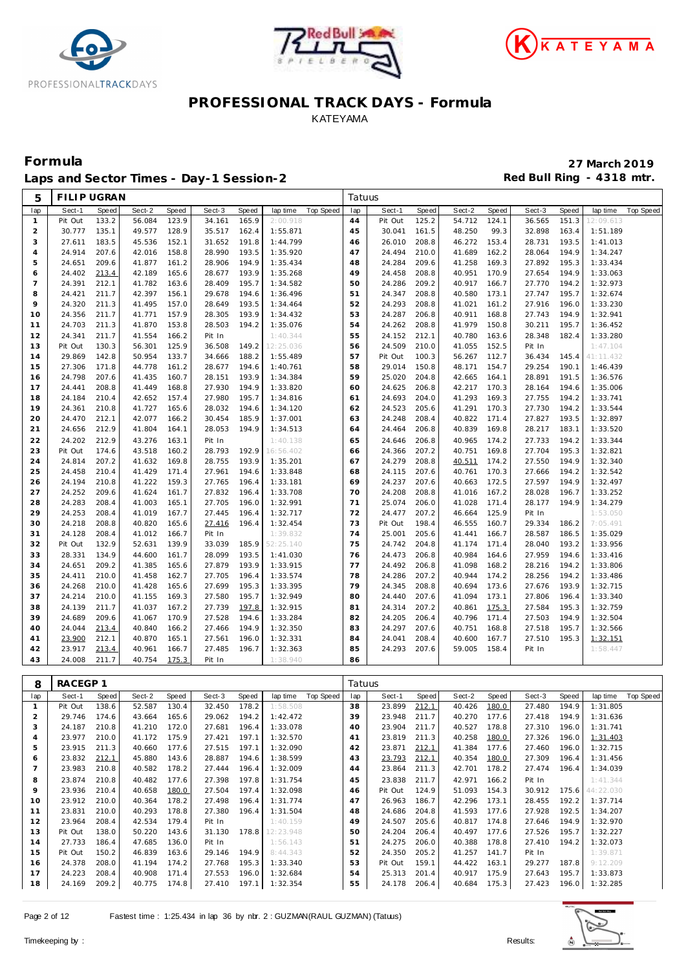





Laps and Sector Times - Day-1 Session-2 **Accord Payment Accord Red Bull Ring - 4318 mtr.** 

| 5              | <b>FILIP UGRAN</b> |       |        |       |        |       |           |           | Tatuus |         |       |        |       |        |              |           |           |
|----------------|--------------------|-------|--------|-------|--------|-------|-----------|-----------|--------|---------|-------|--------|-------|--------|--------------|-----------|-----------|
| lap            | Sect-1             | Speed | Sect-2 | Speed | Sect-3 | Speed | lap time  | Top Speed | lap    | Sect-1  | Speed | Sect-2 | Speed | Sect-3 | <b>Speed</b> | lap time  | Top Speed |
| $\mathbf{1}$   | Pit Out            | 133.2 | 56.084 | 123.9 | 34.161 | 165.9 | 2:00.918  |           | 44     | Pit Out | 125.2 | 54.712 | 124.1 | 36.565 | 151.3        | 12:09.613 |           |
| 2              | 30.777             | 135.1 | 49.577 | 128.9 | 35.517 | 162.4 | 1:55.871  |           | 45     | 30.041  | 161.5 | 48.250 | 99.3  | 32.898 | 163.4        | 1:51.189  |           |
| 3              | 27.611             | 183.5 | 45.536 | 152.1 | 31.652 | 191.8 | 1:44.799  |           | 46     | 26.010  | 208.8 | 46.272 | 153.4 | 28.731 | 193.5        | 1:41.013  |           |
| $\overline{4}$ | 24.914             | 207.6 | 42.016 | 158.8 | 28.990 | 193.5 | 1:35.920  |           | 47     | 24.494  | 210.0 | 41.689 | 162.2 | 28.064 | 194.9        | 1:34.247  |           |
| 5              | 24.651             | 209.6 | 41.877 | 161.2 | 28.906 | 194.9 | 1:35.434  |           | 48     | 24.284  | 209.6 | 41.258 | 169.3 | 27.892 | 195.3        | 1:33.434  |           |
| 6              | 24.402             | 213.4 | 42.189 | 165.6 | 28.677 | 193.9 | 1:35.268  |           | 49     | 24.458  | 208.8 | 40.951 | 170.9 | 27.654 | 194.9        | 1:33.063  |           |
| $\overline{7}$ | 24.391             | 212.1 | 41.782 | 163.6 | 28.409 | 195.7 | 1:34.582  |           | 50     | 24.286  | 209.2 | 40.917 | 166.7 | 27.770 | 194.2        | 1:32.973  |           |
| 8              | 24.421             | 211.7 | 42.397 | 156.1 | 29.678 | 194.6 | 1:36.496  |           | 51     | 24.347  | 208.8 | 40.580 | 173.1 | 27.747 | 195.7        | 1:32.674  |           |
| $\circ$        | 24.320             | 211.3 | 41.495 | 157.0 | 28.649 | 193.5 | 1:34.464  |           | 52     | 24.293  | 208.8 | 41.021 | 161.2 | 27.916 | 196.0        | 1:33.230  |           |
| 10             | 24.356             | 211.7 | 41.771 | 157.9 | 28.305 | 193.9 | 1:34.432  |           | 53     | 24.287  | 206.8 | 40.911 | 168.8 | 27.743 | 194.9        | 1:32.941  |           |
| 11             | 24.703             | 211.3 | 41.870 | 153.8 | 28.503 | 194.2 | 1:35.076  |           | 54     | 24.262  | 208.8 | 41.979 | 150.8 | 30.211 | 195.7        | 1:36.452  |           |
| 12             | 24.341             | 211.7 | 41.554 | 166.2 | Pit In |       | 1:40.344  |           | 55     | 24.152  | 212.1 | 40.780 | 163.6 | 28.348 | 182.4        | 1:33.280  |           |
| 13             | Pit Out            | 130.3 | 56.301 | 125.9 | 36.508 | 149.2 | 12:25.036 |           | 56     | 24.509  | 210.0 | 41.055 | 152.5 | Pit In |              | 1:47.104  |           |
| 14             | 29.869             | 142.8 | 50.954 | 133.7 | 34.666 | 188.2 | 1:55.489  |           | 57     | Pit Out | 100.3 | 56.267 | 112.7 | 36.434 | 145.4        | 41:11.432 |           |
| 15             | 27.306             | 171.8 | 44.778 | 161.2 | 28.677 | 194.6 | 1:40.761  |           | 58     | 29.014  | 150.8 | 48.171 | 154.7 | 29.254 | 190.1        | 1:46.439  |           |
| 16             | 24.798             | 207.6 | 41.435 | 160.7 | 28.151 | 193.9 | 1:34.384  |           | 59     | 25.020  | 204.8 | 42.665 | 164.1 | 28.891 | 191.5        | 1:36.576  |           |
| 17             | 24.441             | 208.8 | 41.449 | 168.8 | 27.930 | 194.9 | 1:33.820  |           | 60     | 24.625  | 206.8 | 42.217 | 170.3 | 28.164 | 194.6        | 1:35.006  |           |
| 18             | 24.184             | 210.4 | 42.652 | 157.4 | 27.980 | 195.7 | 1:34.816  |           | 61     | 24.693  | 204.0 | 41.293 | 169.3 | 27.755 | 194.2        | 1:33.741  |           |
| 19             | 24.361             | 210.8 | 41.727 | 165.6 | 28.032 | 194.6 | 1:34.120  |           | 62     | 24.523  | 205.6 | 41.291 | 170.3 | 27.730 | 194.2        | 1:33.544  |           |
| 20             | 24.470             | 212.1 | 42.077 | 166.2 | 30.454 | 185.9 | 1:37.001  |           | 63     | 24.248  | 208.4 | 40.822 | 171.4 | 27.827 | 193.5        | 1:32.897  |           |
| 21             | 24.656             | 212.9 | 41.804 | 164.1 | 28.053 | 194.9 | 1:34.513  |           | 64     | 24.464  | 206.8 | 40.839 | 169.8 | 28.217 | 183.1        | 1:33.520  |           |
| 22             | 24.202             | 212.9 | 43.276 | 163.1 | Pit In |       | 1:40.138  |           | 65     | 24.646  | 206.8 | 40.965 | 174.2 | 27.733 | 194.2        | 1:33.344  |           |
| 23             | Pit Out            | 174.6 | 43.518 | 160.2 | 28.793 | 192.9 | 16:56.402 |           | 66     | 24.366  | 207.2 | 40.751 | 169.8 | 27.704 | 195.3        | 1:32.821  |           |
| 24             | 24.814             | 207.2 | 41.632 | 169.8 | 28.755 | 193.9 | 1:35.201  |           | 67     | 24.279  | 208.8 | 40.511 | 174.2 | 27.550 | 194.9        | 1:32.340  |           |
| 25             | 24.458             | 210.4 | 41.429 | 171.4 | 27.961 | 194.6 | 1:33.848  |           | 68     | 24.115  | 207.6 | 40.761 | 170.3 | 27.666 | 194.2        | 1:32.542  |           |
| 26             | 24.194             | 210.8 | 41.222 | 159.3 | 27.765 | 196.4 | 1:33.181  |           | 69     | 24.237  | 207.6 | 40.663 | 172.5 | 27.597 | 194.9        | 1:32.497  |           |
| 27             | 24.252             | 209.6 | 41.624 | 161.7 | 27.832 | 196.4 | 1:33.708  |           | 70     | 24.208  | 208.8 | 41.016 | 167.2 | 28.028 | 196.7        | 1:33.252  |           |
| 28             | 24.283             | 208.4 | 41.003 | 165.1 | 27.705 | 196.0 | 1:32.991  |           | 71     | 25.074  | 206.0 | 41.028 | 171.4 | 28.177 | 194.9        | 1:34.279  |           |
| 29             | 24.253             | 208.4 | 41.019 | 167.7 | 27.445 | 196.4 | 1:32.717  |           | 72     | 24.477  | 207.2 | 46.664 | 125.9 | Pit In |              | 1:53.050  |           |
| 30             | 24.218             | 208.8 | 40.820 | 165.6 | 27.416 | 196.4 | 1:32.454  |           | 73     | Pit Out | 198.4 | 46.555 | 160.7 | 29.334 | 186.2        | 7:05.491  |           |
| 31             | 24.128             | 208.4 | 41.012 | 166.7 | Pit In |       | 1:39.832  |           | 74     | 25.001  | 205.6 | 41.441 | 166.7 | 28.587 | 186.5        | 1:35.029  |           |
| 32             | Pit Out            | 132.9 | 52.631 | 139.9 | 33.039 | 185.9 | 52:25.140 |           | 75     | 24.742  | 204.8 | 41.174 | 171.4 | 28.040 | 193.2        | 1:33.956  |           |
| 33             | 28.331             | 134.9 | 44.600 | 161.7 | 28.099 | 193.5 | 1:41.030  |           | 76     | 24.473  | 206.8 | 40.984 | 164.6 | 27.959 | 194.6        | 1:33.416  |           |
| 34             | 24.651             | 209.2 | 41.385 | 165.6 | 27.879 | 193.9 | 1:33.915  |           | 77     | 24.492  | 206.8 | 41.098 | 168.2 | 28.216 | 194.2        | 1:33.806  |           |
| 35             | 24.411             | 210.0 | 41.458 | 162.7 | 27.705 | 196.4 | 1:33.574  |           | 78     | 24.286  | 207.2 | 40.944 | 174.2 | 28.256 | 194.2        | 1:33.486  |           |
| 36             | 24.268             | 210.0 | 41.428 | 165.6 | 27.699 | 195.3 | 1:33.395  |           | 79     | 24.345  | 208.8 | 40.694 | 173.6 | 27.676 | 193.9        | 1:32.715  |           |
| 37             | 24.214             | 210.0 | 41.155 | 169.3 | 27.580 | 195.7 | 1:32.949  |           | 80     | 24.440  | 207.6 | 41.094 | 173.1 | 27.806 | 196.4        | 1:33.340  |           |
| 38             | 24.139             | 211.7 | 41.037 | 167.2 | 27.739 | 197.8 | 1:32.915  |           | 81     | 24.314  | 207.2 | 40.861 | 175.3 | 27.584 | 195.3        | 1:32.759  |           |
| 39             | 24.689             | 209.6 | 41.067 | 170.9 | 27.528 | 194.6 | 1:33.284  |           | 82     | 24.205  | 206.4 | 40.796 | 171.4 | 27.503 | 194.9        | 1:32.504  |           |
| 40             | 24.044             | 213.4 | 40.840 | 166.2 | 27.466 | 194.9 | 1:32.350  |           | 83     | 24.297  | 207.6 | 40.751 | 168.8 | 27.518 | 195.7        | 1:32.566  |           |
| 41             | 23.900             | 212.1 | 40.870 | 165.1 | 27.561 | 196.0 | 1:32.331  |           | 84     | 24.041  | 208.4 | 40.600 | 167.7 | 27.510 | 195.3        | 1:32.151  |           |
| 42             | 23.917             | 213.4 | 40.961 | 166.7 | 27.485 | 196.7 | 1:32.363  |           | 85     | 24.293  | 207.6 | 59.005 | 158.4 | Pit In |              | 1:58.447  |           |
| 43             | 24.008             | 211.7 | 40.754 | 175.3 | Pit In |       | 1:38.940  |           | 86     |         |       |        |       |        |              |           |           |

| 8              | RACEGP 1 |       |        |       |        |       |           |           | Tatuus         |         |       |        |       |        |       |           |                  |
|----------------|----------|-------|--------|-------|--------|-------|-----------|-----------|----------------|---------|-------|--------|-------|--------|-------|-----------|------------------|
| lap            | Sect-1   | Speed | Sect-2 | Speed | Sect-3 | Speed | lap time  | Top Speed | lap            | Sect-1  | Speed | Sect-2 | Speed | Sect-3 | Speed | lap time  | <b>Top Speed</b> |
|                | Pit Out  | 138.6 | 52.587 | 130.4 | 32.450 | 178.2 | 1:58.508  |           | 38             | 23.899  | 212.1 | 40.426 | 180.0 | 27.480 | 194.9 | 1:31.805  |                  |
| $\overline{2}$ | 29.746   | 174.6 | 43.664 | 165.6 | 29.062 | 194.2 | 1:42.472  |           | 39             | 23.948  | 211.7 | 40.270 | 177.6 | 27.418 | 194.9 | 1:31.636  |                  |
| 3              | 24.187   | 210.8 | 41.210 | 172.0 | 27.681 | 196.4 | 1:33.078  |           | 40             | 23.904  | 211.7 | 40.527 | 178.8 | 27.310 | 196.0 | 1:31.741  |                  |
| 4              | 23.977   | 210.0 | 41.172 | 175.9 | 27.421 | 197.1 | 1:32.570  |           | 4 <sup>1</sup> | 23.819  | 211.3 | 40.258 | 180.0 | 27.326 | 196.0 | 1:31.403  |                  |
| 5              | 23.915   | 211.3 | 40.660 | 177.6 | 27.515 | 197.1 | 1:32.090  |           | 42             | 23.871  | 212.1 | 41.384 | 177.6 | 27.460 | 196.0 | 1:32.715  |                  |
| 6              | 23.832   | 212.1 | 45.880 | 143.6 | 28.887 | 194.6 | 1:38.599  |           | 43             | 23.793  | 212.1 | 40.354 | 180.0 | 27.309 | 196.4 | 1:31.456  |                  |
|                | 23.983   | 210.8 | 40.582 | 178.2 | 27.444 | 196.4 | 1:32.009  |           | 44             | 23.864  | 211.3 | 42.701 | 178.2 | 27.474 | 196.4 | 1:34.039  |                  |
| 8              | 23.874   | 210.8 | 40.482 | 177.6 | 27.398 | 197.8 | 1:31.754  |           | 45             | 23.838  | 211.7 | 42.971 | 166.2 | Pit In |       | 1:41.344  |                  |
| 9              | 23.936   | 210.4 | 40.658 | 180.0 | 27.504 | 197.4 | 1:32.098  |           | 46             | Pit Out | 124.9 | 51.093 | 154.3 | 30.912 | 175.6 | 44:22.030 |                  |
| 10             | 23.912   | 210.0 | 40.364 | 178.2 | 27.498 | 196.4 | 1:31.774  |           | 47             | 26.963  | 186.7 | 42.296 | 173.1 | 28.455 | 192.2 | 1:37.714  |                  |
| 11             | 23.831   | 210.0 | 40.293 | 178.8 | 27.380 | 196.4 | 1:31.504  |           | 48             | 24.686  | 204.8 | 41.593 | 177.6 | 27.928 | 192.5 | 1:34.207  |                  |
| 12             | 23.964   | 208.4 | 42.534 | 179.4 | Pit In |       | 1:40.159  |           | 49             | 24.507  | 205.6 | 40.817 | 174.8 | 27.646 | 194.9 | 1:32.970  |                  |
| 13             | Pit Out  | 138.0 | 50.220 | 143.6 | 31.130 | 178.8 | 12:23.948 |           | 50             | 24.204  | 206.4 | 40.497 | 177.6 | 27.526 | 195.7 | 1:32.227  |                  |
| 14             | 27.733   | 186.4 | 47.685 | 136.0 | Pit In |       | 1:56.143  |           | 51             | 24.275  | 206.0 | 40.388 | 178.8 | 27.410 | 194.2 | 1:32.073  |                  |
| 15             | Pit Out  | 150.2 | 46.839 | 163.6 | 29.146 | 194.9 | 8:44.343  |           | 52             | 24.350  | 205.2 | 41.257 | 141.7 | Pit In |       | 1:39.871  |                  |
| 16             | 24.378   | 208.0 | 41.194 | 174.2 | 27.768 | 195.3 | 1:33.340  |           | 53             | Pit Out | 159.1 | 44.422 | 163.1 | 29.277 | 187.8 | 9:12.209  |                  |
| 17             | 24.223   | 208.4 | 40.908 | 171.4 | 27.553 | 196.0 | 1:32.684  |           | 54             | 25.313  | 201.4 | 40.917 | 175.9 | 27.643 | 195.7 | 1:33.873  |                  |
| 18             | 24.169   | 209.2 | 40.775 | 174.8 | 27.410 | 197.1 | 1:32.354  |           | 55             | 24.178  | 206.4 | 40.684 | 175.3 | 27.423 | 196.0 | 1:32.285  |                  |

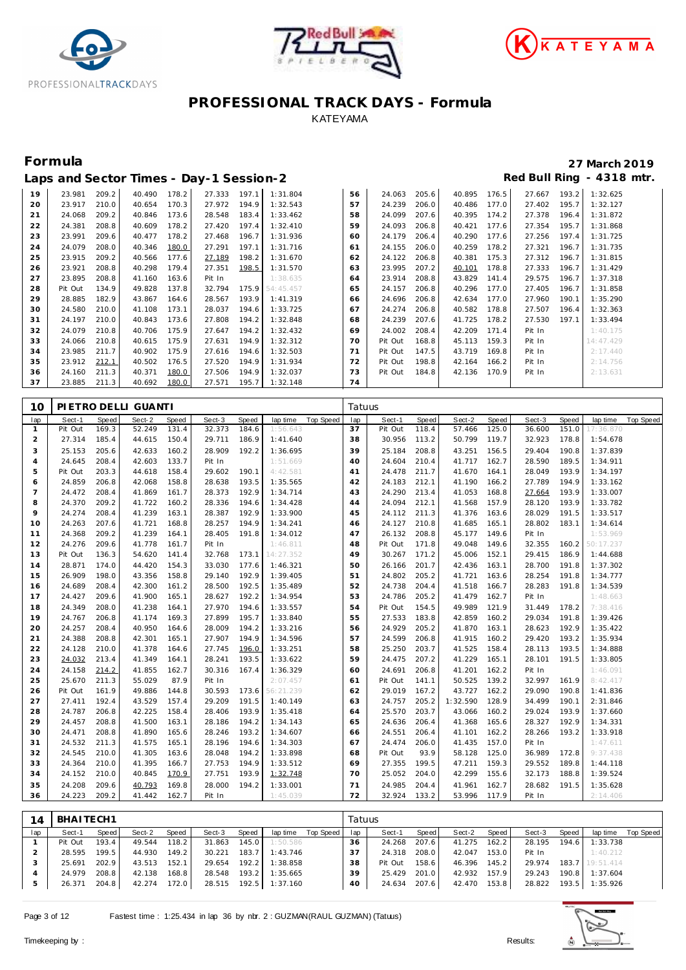





|    |         |       |        |       | Laps and Sector Times - Day-1 Session-2 |       |           |    |         |       |        |       |        |       | Red Bull Ring - 4318 mtr. |
|----|---------|-------|--------|-------|-----------------------------------------|-------|-----------|----|---------|-------|--------|-------|--------|-------|---------------------------|
| 19 | 23.981  | 209.2 | 40.490 | 178.2 | 27.333                                  | 197.1 | 1:31.804  | 56 | 24.063  | 205.6 | 40.895 | 176.5 | 27.667 | 193.2 | 1:32.625                  |
| 20 | 23.917  | 210.0 | 40.654 | 170.3 | 27.972                                  | 194.9 | 1:32.543  | 57 | 24.239  | 206.0 | 40.486 | 177.0 | 27.402 | 195.7 | 1:32.127                  |
| 21 | 24.068  | 209.2 | 40.846 | 173.6 | 28.548                                  | 183.4 | 1:33.462  | 58 | 24.099  | 207.6 | 40.395 | 174.2 | 27.378 | 196.4 | 1:31.872                  |
| 22 | 24.381  | 208.8 | 40.609 | 178.2 | 27.420                                  | 197.4 | 1:32.410  | 59 | 24.093  | 206.8 | 40.421 | 177.6 | 27.354 | 195.7 | 1:31.868                  |
| 23 | 23.991  | 209.6 | 40.477 | 178.2 | 27.468                                  | 196.7 | 1:31.936  | 60 | 24.179  | 206.4 | 40.290 | 177.6 | 27.256 | 197.4 | 1:31.725                  |
| 24 | 24.079  | 208.0 | 40.346 | 180.0 | 27.291                                  | 197.1 | 1:31.716  | 61 | 24.155  | 206.0 | 40.259 | 178.2 | 27.321 | 196.7 | 1:31.735                  |
| 25 | 23.915  | 209.2 | 40.566 | 177.6 | 27.189                                  | 198.2 | 1:31.670  | 62 | 24.122  | 206.8 | 40.381 | 175.3 | 27.312 | 196.7 | 1:31.815                  |
| 26 | 23.921  | 208.8 | 40.298 | 179.4 | 27.351                                  | 198.5 | 1:31.570  | 63 | 23.995  | 207.2 | 40.101 | 178.8 | 27.333 | 196.7 | 1:31.429                  |
| 27 | 23.895  | 208.8 | 41.160 | 163.6 | Pit In                                  |       | 1:38.635  | 64 | 23.914  | 208.8 | 43.829 | 141.4 | 29.575 | 196.7 | 1:37.318                  |
| 28 | Pit Out | 134.9 | 49.828 | 137.8 | 32.794                                  | 175.9 | 54:45.457 | 65 | 24.157  | 206.8 | 40.296 | 177.0 | 27.405 | 196.7 | 1:31.858                  |
| 29 | 28.885  | 182.9 | 43.867 | 164.6 | 28.567                                  | 193.9 | 1:41.319  | 66 | 24.696  | 206.8 | 42.634 | 177.0 | 27.960 | 190.1 | 1:35.290                  |
| 30 | 24.580  | 210.0 | 41.108 | 173.1 | 28.037                                  | 194.6 | 1:33.725  | 67 | 24.274  | 206.8 | 40.582 | 178.8 | 27.507 | 196.4 | 1:32.363                  |
| 31 | 24.197  | 210.0 | 40.843 | 173.6 | 27.808                                  | 194.2 | 1:32.848  | 68 | 24.239  | 207.6 | 41.725 | 178.2 | 27.530 | 197.1 | 1:33.494                  |
| 32 | 24.079  | 210.8 | 40.706 | 175.9 | 27.647                                  | 194.2 | 1:32.432  | 69 | 24.002  | 208.4 | 42.209 | 171.4 | Pit In |       | 1:40.175                  |
| 33 | 24.066  | 210.8 | 40.615 | 175.9 | 27.631                                  | 194.9 | 1:32.312  | 70 | Pit Out | 168.8 | 45.113 | 159.3 | Pit In |       | 14:47.429                 |
| 34 | 23.985  | 211.7 | 40.902 | 175.9 | 27.616                                  | 194.6 | 1:32.503  | 71 | Pit Out | 147.5 | 43.719 | 169.8 | Pit In |       | 2:17.440                  |
| 35 | 23.912  | 212.1 | 40.502 | 176.5 | 27.520                                  | 194.9 | 1:31.934  | 72 | Pit Out | 198.8 | 42.164 | 166.2 | Pit In |       | 2:14.756                  |
| 36 | 24.160  | 211.3 | 40.371 | 180.0 | 27.506                                  | 194.9 | 1:32.037  | 73 | Pit Out | 184.8 | 42.136 | 170.9 | Pit In |       | 2:13.631                  |
| 37 | 23.885  | 211.3 | 40.692 | 180.0 | 27.571                                  | 195.7 | 1:32.148  | 74 |         |       |        |       |        |       |                           |

| 10             |         |       | PIETRO DELLI GUANTI |       |        |       |           |                  | Tatuus |         |       |          |       |        |       |           |           |
|----------------|---------|-------|---------------------|-------|--------|-------|-----------|------------------|--------|---------|-------|----------|-------|--------|-------|-----------|-----------|
| lap            | Sect-1  | Speed | Sect-2              | Speed | Sect-3 | Speed | lap time  | <b>Top Speed</b> | lap    | Sect-1  | Speed | Sect-2   | Speed | Sect-3 | Speed | lap time  | Top Speed |
| $\mathbf{1}$   | Pit Out | 169.3 | 52.249              | 131.4 | 32.373 | 184.6 | 1:56.643  |                  | 37     | Pit Out | 118.4 | 57.466   | 125.0 | 36.600 | 151.0 | 17:36.870 |           |
| $\overline{2}$ | 27.314  | 185.4 | 44.615              | 150.4 | 29.711 | 186.9 | 1:41.640  |                  | 38     | 30.956  | 113.2 | 50.799   | 119.7 | 32.923 | 178.8 | 1:54.678  |           |
| 3              | 25.153  | 205.6 | 42.633              | 160.2 | 28.909 | 192.2 | 1:36.695  |                  | 39     | 25.184  | 208.8 | 43.251   | 156.5 | 29.404 | 190.8 | 1:37.839  |           |
| $\overline{4}$ | 24.645  | 208.4 | 42.603              | 133.7 | Pit In |       | 1:51.669  |                  | 40     | 24.604  | 210.4 | 41.717   | 162.7 | 28.590 | 189.5 | 1:34.911  |           |
| 5              | Pit Out | 203.3 | 44.618              | 158.4 | 29.602 | 190.1 | 4:42.581  |                  | 41     | 24.478  | 211.7 | 41.670   | 164.1 | 28.049 | 193.9 | 1:34.197  |           |
| 6              | 24.859  | 206.8 | 42.068              | 158.8 | 28.638 | 193.5 | 1:35.565  |                  | 42     | 24.183  | 212.1 | 41.190   | 166.2 | 27.789 | 194.9 | 1:33.162  |           |
| $\overline{7}$ | 24.472  | 208.4 | 41.869              | 161.7 | 28.373 | 192.9 | 1:34.714  |                  | 43     | 24.290  | 213.4 | 41.053   | 168.8 | 27.664 | 193.9 | 1:33.007  |           |
| 8              | 24.370  | 209.2 | 41.722              | 160.2 | 28.336 | 194.6 | 1:34.428  |                  | 44     | 24.094  | 212.1 | 41.568   | 157.9 | 28.120 | 193.9 | 1:33.782  |           |
| 9              | 24.274  | 208.4 | 41.239              | 163.1 | 28.387 | 192.9 | 1:33.900  |                  | 45     | 24.112  | 211.3 | 41.376   | 163.6 | 28.029 | 191.5 | 1:33.517  |           |
| 10             | 24.263  | 207.6 | 41.721              | 168.8 | 28.257 | 194.9 | 1:34.241  |                  | 46     | 24.127  | 210.8 | 41.685   | 165.1 | 28.802 | 183.1 | 1:34.614  |           |
| 11             | 24.368  | 209.2 | 41.239              | 164.1 | 28.405 | 191.8 | 1:34.012  |                  | 47     | 26.132  | 208.8 | 45.177   | 149.6 | Pit In |       | 1:53.969  |           |
| 12             | 24.276  | 209.6 | 41.778              | 161.7 | Pit In |       | 1:46.811  |                  | 48     | Pit Out | 171.8 | 49.048   | 149.6 | 32.355 | 160.2 | 50:17.237 |           |
| 13             | Pit Out | 136.3 | 54.620              | 141.4 | 32.768 | 173.1 | 14:27.352 |                  | 49     | 30.267  | 171.2 | 45.006   | 152.1 | 29.415 | 186.9 | 1:44.688  |           |
| 14             | 28.871  | 174.0 | 44.420              | 154.3 | 33.030 | 177.6 | 1:46.321  |                  | 50     | 26.166  | 201.7 | 42.436   | 163.1 | 28.700 | 191.8 | 1:37.302  |           |
| 15             | 26.909  | 198.0 | 43.356              | 158.8 | 29.140 | 192.9 | 1:39.405  |                  | 51     | 24.802  | 205.2 | 41.721   | 163.6 | 28.254 | 191.8 | 1:34.777  |           |
| 16             | 24.689  | 208.4 | 42.300              | 161.2 | 28.500 | 192.5 | 1:35.489  |                  | 52     | 24.738  | 204.4 | 41.518   | 166.7 | 28.283 | 191.8 | 1:34.539  |           |
| 17             | 24.427  | 209.6 | 41.900              | 165.1 | 28.627 | 192.2 | 1:34.954  |                  | 53     | 24.786  | 205.2 | 41.479   | 162.7 | Pit In |       | 1:48.663  |           |
| 18             | 24.349  | 208.0 | 41.238              | 164.1 | 27.970 | 194.6 | 1:33.557  |                  | 54     | Pit Out | 154.5 | 49.989   | 121.9 | 31.449 | 178.2 | 7:38.416  |           |
| 19             | 24.767  | 206.8 | 41.174              | 169.3 | 27.899 | 195.7 | 1:33.840  |                  | 55     | 27.533  | 183.8 | 42.859   | 160.2 | 29.034 | 191.8 | 1:39.426  |           |
| 20             | 24.257  | 208.4 | 40.950              | 164.6 | 28.009 | 194.2 | 1:33.216  |                  | 56     | 24.929  | 205.2 | 41.870   | 163.1 | 28.623 | 192.9 | 1:35.422  |           |
| 21             | 24.388  | 208.8 | 42.301              | 165.1 | 27.907 | 194.9 | 1:34.596  |                  | 57     | 24.599  | 206.8 | 41.915   | 160.2 | 29.420 | 193.2 | 1:35.934  |           |
| 22             | 24.128  | 210.0 | 41.378              | 164.6 | 27.745 | 196.0 | 1:33.251  |                  | 58     | 25.250  | 203.7 | 41.525   | 158.4 | 28.113 | 193.5 | 1:34.888  |           |
| 23             | 24.032  | 213.4 | 41.349              | 164.1 | 28.241 | 193.5 | 1:33.622  |                  | 59     | 24.475  | 207.2 | 41.229   | 165.1 | 28.101 | 191.5 | 1:33.805  |           |
| 24             | 24.158  | 214.2 | 41.855              | 162.7 | 30.316 | 167.4 | 1:36.329  |                  | 60     | 24.691  | 206.8 | 41.201   | 162.2 | Pit In |       | 1:46.091  |           |
| 25             | 25.670  | 211.3 | 55.029              | 87.9  | Pit In |       | 2:07.457  |                  | 61     | Pit Out | 141.1 | 50.525   | 139.2 | 32.997 | 161.9 | 8:42.417  |           |
| 26             | Pit Out | 161.9 | 49.886              | 144.8 | 30.593 | 173.6 | 56:21.239 |                  | 62     | 29.019  | 167.2 | 43.727   | 162.2 | 29.090 | 190.8 | 1:41.836  |           |
| 27             | 27.411  | 192.4 | 43.529              | 157.4 | 29.209 | 191.5 | 1:40.149  |                  | 63     | 24.757  | 205.2 | 1:32.590 | 128.9 | 34.499 | 190.1 | 2:31.846  |           |
| 28             | 24.787  | 206.8 | 42.225              | 158.4 | 28.406 | 193.9 | 1:35.418  |                  | 64     | 25.570  | 203.7 | 43.066   | 160.2 | 29.024 | 193.9 | 1:37.660  |           |
| 29             | 24.457  | 208.8 | 41.500              | 163.1 | 28.186 | 194.2 | 1:34.143  |                  | 65     | 24.636  | 206.4 | 41.368   | 165.6 | 28.327 | 192.9 | 1:34.331  |           |
| 30             | 24.471  | 208.8 | 41.890              | 165.6 | 28.246 | 193.2 | 1:34.607  |                  | 66     | 24.551  | 206.4 | 41.101   | 162.2 | 28.266 | 193.2 | 1:33.918  |           |
| 31             | 24.532  | 211.3 | 41.575              | 165.1 | 28.196 | 194.6 | 1:34.303  |                  | 67     | 24.474  | 206.0 | 41.435   | 157.0 | Pit In |       | 1:47.611  |           |
| 32             | 24.545  | 210.0 | 41.305              | 163.6 | 28.048 | 194.2 | 1:33.898  |                  | 68     | Pit Out | 93.9  | 58.128   | 125.0 | 36.989 | 172.8 | 9:37.438  |           |
| 33             | 24.364  | 210.0 | 41.395              | 166.7 | 27.753 | 194.9 | 1:33.512  |                  | 69     | 27.355  | 199.5 | 47.211   | 159.3 | 29.552 | 189.8 | 1:44.118  |           |
| 34             | 24.152  | 210.0 | 40.845              | 170.9 | 27.751 | 193.9 | 1:32.748  |                  | 70     | 25.052  | 204.0 | 42.299   | 155.6 | 32.173 | 188.8 | 1:39.524  |           |
| 35             | 24.208  | 209.6 | 40.793              | 169.8 | 28.000 | 194.2 | 1:33.001  |                  | 71     | 24.985  | 204.4 | 41.961   | 162.7 | 28.682 | 191.5 | 1:35.628  |           |
| 36             | 24.223  | 209.2 | 41.442              | 162.7 | Pit In |       | 1:45.039  |                  | 72     | 32.924  | 133.2 | 53.996   | 117.9 | Pit In |       | 2:14.406  |           |

| 14  | BHAITECH1 |       |        |       |        |         |          |                    | Tatuus |         |       |        |       |        |         |                 |           |
|-----|-----------|-------|--------|-------|--------|---------|----------|--------------------|--------|---------|-------|--------|-------|--------|---------|-----------------|-----------|
| lap | Sect-1    | Speed | Sect-2 | Speed | Sect-3 | Speed   |          | lap time Top Speed | lap    | Sect-1  | Speed | Sect-2 | Speed | Sect-3 | Speed   | lap time        | Top Speed |
|     | Pit Out   | 193.4 | 49.544 | 118.2 | 31.863 | 145.0   | 1:50.586 |                    | 36     | 24.268  | 207.6 | 41.275 | 162.2 | 28.195 | 194.6   | 1:33.738        |           |
|     | 28.595    | 199.5 | 44.930 | 149.2 | 30.221 | 183.7   | 1:43.746 |                    | 37     | 24.318  | 208.0 | 42.047 | 153.0 | Pit In |         | 1:40.212        |           |
|     | 25.691    | 202.9 | 43.513 | 152.1 | 29.654 | 192.2   | 1:38.858 |                    | 38     | Pit Out | 158.6 | 46.396 | 145.2 | 29.974 |         | 183.7 19:51.414 |           |
|     | 24.979    | 208.8 | 42.138 | 168.8 | 28.548 | $193.2$ | 1:35.665 |                    | 39     | 25.429  | 201.0 | 42.932 | 157.9 | 29.243 | 190.8   | 1:37.604        |           |
|     | 26.371    | 204.8 | 42.274 | 172.0 | 28.515 | 192.5   | 1:37.160 |                    | 40     | 24.634  | 207.6 | 42.470 | 153.8 | 28.822 | $193.5$ | 1:35.926        |           |

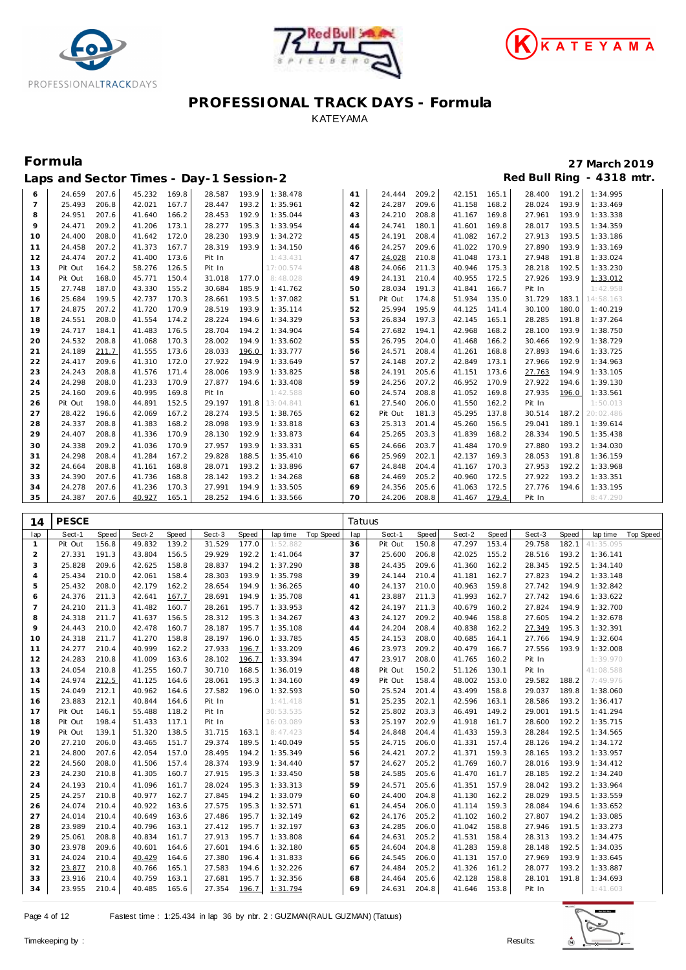





|                | Laps and Sector Times - Day-1 Session-2 |       |        |       |        |       |           |    |         |       |        |       |        |       | Red Bull Ring - 4318 mtr. |
|----------------|-----------------------------------------|-------|--------|-------|--------|-------|-----------|----|---------|-------|--------|-------|--------|-------|---------------------------|
| 6              | 24.659                                  | 207.6 | 45.232 | 169.8 | 28.587 | 193.9 | 1:38.478  | 41 | 24.444  | 209.2 | 42.151 | 165.1 | 28.400 | 191.2 | 1:34.995                  |
| $\overline{7}$ | 25.493                                  | 206.8 | 42.021 | 167.7 | 28.447 | 193.2 | 1:35.961  | 42 | 24.287  | 209.6 | 41.158 | 168.2 | 28.024 | 193.9 | 1:33.469                  |
| 8              | 24.951                                  | 207.6 | 41.640 | 166.2 | 28.453 | 192.9 | 1:35.044  | 43 | 24.210  | 208.8 | 41.167 | 169.8 | 27.961 | 193.9 | 1:33.338                  |
| 9              | 24.471                                  | 209.2 | 41.206 | 173.1 | 28.277 | 195.3 | 1:33.954  | 44 | 24.741  | 180.1 | 41.601 | 169.8 | 28.017 | 193.5 | 1:34.359                  |
| 10             | 24.400                                  | 208.0 | 41.642 | 172.0 | 28.230 | 193.9 | 1:34.272  | 45 | 24.191  | 208.4 | 41.082 | 167.2 | 27.913 | 193.5 | 1:33.186                  |
| 11             | 24.458                                  | 207.2 | 41.373 | 167.7 | 28.319 | 193.9 | 1:34.150  | 46 | 24.257  | 209.6 | 41.022 | 170.9 | 27.890 | 193.9 | 1:33.169                  |
| 12             | 24.474                                  | 207.2 | 41.400 | 173.6 | Pit In |       | 1:43.431  | 47 | 24.028  | 210.8 | 41.048 | 173.1 | 27.948 | 191.8 | 1:33.024                  |
| 13             | Pit Out                                 | 164.2 | 58.276 | 126.5 | Pit In |       | 17:00.574 | 48 | 24.066  | 211.3 | 40.946 | 175.3 | 28.218 | 192.5 | 1:33.230                  |
| 14             | Pit Out                                 | 168.0 | 45.771 | 150.4 | 31.018 | 177.0 | 8:48.028  | 49 | 24.131  | 210.4 | 40.955 | 172.5 | 27.926 | 193.9 | 1:33.012                  |
| 15             | 27.748                                  | 187.0 | 43.330 | 155.2 | 30.684 | 185.9 | 1:41.762  | 50 | 28.034  | 191.3 | 41.841 | 166.7 | Pit In |       | 1:42.958                  |
| 16             | 25.684                                  | 199.5 | 42.737 | 170.3 | 28.661 | 193.5 | 1:37.082  | 51 | Pit Out | 174.8 | 51.934 | 135.0 | 31.729 | 183.1 | 14:58.163                 |
| 17             | 24.875                                  | 207.2 | 41.720 | 170.9 | 28.519 | 193.9 | 1:35.114  | 52 | 25.994  | 195.9 | 44.125 | 141.4 | 30.100 | 180.0 | 1:40.219                  |
| 18             | 24.551                                  | 208.0 | 41.554 | 174.2 | 28.224 | 194.6 | 1:34.329  | 53 | 26.834  | 197.3 | 42.145 | 165.1 | 28.285 | 191.8 | 1:37.264                  |
| 19             | 24.717                                  | 184.1 | 41.483 | 176.5 | 28.704 | 194.2 | 1:34.904  | 54 | 27.682  | 194.1 | 42.968 | 168.2 | 28.100 | 193.9 | 1:38.750                  |
| 20             | 24.532                                  | 208.8 | 41.068 | 170.3 | 28.002 | 194.9 | 1:33.602  | 55 | 26.795  | 204.0 | 41.468 | 166.2 | 30.466 | 192.9 | 1:38.729                  |
| 21             | 24.189                                  | 211.7 | 41.555 | 173.6 | 28.033 | 196.0 | 1:33.777  | 56 | 24.571  | 208.4 | 41.261 | 168.8 | 27.893 | 194.6 | 1:33.725                  |
| 22             | 24.417                                  | 209.6 | 41.310 | 172.0 | 27.922 | 194.9 | 1:33.649  | 57 | 24.148  | 207.2 | 42.849 | 173.1 | 27.966 | 192.9 | 1:34.963                  |
| 23             | 24.243                                  | 208.8 | 41.576 | 171.4 | 28.006 | 193.9 | 1:33.825  | 58 | 24.191  | 205.6 | 41.151 | 173.6 | 27.763 | 194.9 | 1:33.105                  |
| 24             | 24.298                                  | 208.0 | 41.233 | 170.9 | 27.877 | 194.6 | 1:33.408  | 59 | 24.256  | 207.2 | 46.952 | 170.9 | 27.922 | 194.6 | 1:39.130                  |
| 25             | 24.160                                  | 209.6 | 40.995 | 169.8 | Pit In |       | 1:42.588  | 60 | 24.574  | 208.8 | 41.052 | 169.8 | 27.935 | 196.0 | 1:33.561                  |
| 26             | Pit Out                                 | 198.0 | 44.891 | 152.5 | 29.197 | 191.8 | 13:04.841 | 61 | 27.540  | 206.0 | 41.550 | 162.2 | Pit In |       | 1:50.013                  |
| 27             | 28.422                                  | 196.6 | 42.069 | 167.2 | 28.274 | 193.5 | 1:38.765  | 62 | Pit Out | 181.3 | 45.295 | 137.8 | 30.514 |       | 187.2 20:02.486           |
| 28             | 24.337                                  | 208.8 | 41.383 | 168.2 | 28.098 | 193.9 | 1:33.818  | 63 | 25.313  | 201.4 | 45.260 | 156.5 | 29.041 | 189.1 | 1:39.614                  |
| 29             | 24.407                                  | 208.8 | 41.336 | 170.9 | 28.130 | 192.9 | 1:33.873  | 64 | 25.265  | 203.3 | 41.839 | 168.2 | 28.334 | 190.5 | 1:35.438                  |
| 30             | 24.338                                  | 209.2 | 41.036 | 170.9 | 27.957 | 193.9 | 1:33.331  | 65 | 24.666  | 203.7 | 41.484 | 170.9 | 27.880 | 193.2 | 1:34.030                  |
| 31             | 24.298                                  | 208.4 | 41.284 | 167.2 | 29.828 | 188.5 | 1:35.410  | 66 | 25.969  | 202.1 | 42.137 | 169.3 | 28.053 | 191.8 | 1:36.159                  |
| 32             | 24.664                                  | 208.8 | 41.161 | 168.8 | 28.071 | 193.2 | 1:33.896  | 67 | 24.848  | 204.4 | 41.167 | 170.3 | 27.953 | 192.2 | 1:33.968                  |
| 33             | 24.390                                  | 207.6 | 41.736 | 168.8 | 28.142 | 193.2 | 1:34.268  | 68 | 24.469  | 205.2 | 40.960 | 172.5 | 27.922 | 193.2 | 1:33.351                  |
| 34             | 24.278                                  | 207.6 | 41.236 | 170.3 | 27.991 | 194.9 | 1:33.505  | 69 | 24.356  | 205.6 | 41.063 | 172.5 | 27.776 | 194.6 | 1:33.195                  |
| 35             | 24.387                                  | 207.6 | 40.927 | 165.1 | 28.252 | 194.6 | 1:33.566  | 70 | 24.206  | 208.8 | 41.467 | 179.4 | Pit In |       | 8:47.290                  |

| 14                    | <b>PESCE</b> |       |        |       |        |       |           |           | Tatuus |         |       |        |       |        |       |           |                  |
|-----------------------|--------------|-------|--------|-------|--------|-------|-----------|-----------|--------|---------|-------|--------|-------|--------|-------|-----------|------------------|
| lap                   | Sect-1       | Speed | Sect-2 | Speed | Sect-3 | Speed | lap time  | Top Speed | lap    | Sect-1  | Speed | Sect-2 | Speed | Sect-3 | Speed | lap time  | <b>Top Speed</b> |
| $\mathbf{1}$          | Pit Out      | 156.8 | 49.832 | 139.2 | 31.529 | 177.0 | 1:52.882  |           | 36     | Pit Out | 150.8 | 47.297 | 153.4 | 29.758 | 182.1 | 41:35.095 |                  |
| 2                     | 27.331       | 191.3 | 43.804 | 156.5 | 29.929 | 192.2 | 1:41.064  |           | 37     | 25.600  | 206.8 | 42.025 | 155.2 | 28.516 | 193.2 | 1:36.141  |                  |
| 3                     | 25.828       | 209.6 | 42.625 | 158.8 | 28.837 | 194.2 | 1:37.290  |           | 38     | 24.435  | 209.6 | 41.360 | 162.2 | 28.345 | 192.5 | 1:34.140  |                  |
| $\boldsymbol{\Delta}$ | 25.434       | 210.0 | 42.061 | 158.4 | 28.303 | 193.9 | 1:35.798  |           | 39     | 24.144  | 210.4 | 41.181 | 162.7 | 27.823 | 194.2 | 1:33.148  |                  |
| 5                     | 25.432       | 208.0 | 42.179 | 162.2 | 28.654 | 194.9 | 1:36.265  |           | 40     | 24.137  | 210.0 | 40.963 | 159.8 | 27.742 | 194.9 | 1:32.842  |                  |
| 6                     | 24.376       | 211.3 | 42.641 | 167.7 | 28.691 | 194.9 | 1:35.708  |           | 41     | 23.887  | 211.3 | 41.993 | 162.7 | 27.742 | 194.6 | 1:33.622  |                  |
| $\overline{7}$        | 24.210       | 211.3 | 41.482 | 160.7 | 28.261 | 195.7 | 1:33.953  |           | 42     | 24.197  | 211.3 | 40.679 | 160.2 | 27.824 | 194.9 | 1:32.700  |                  |
| 8                     | 24.318       | 211.7 | 41.637 | 156.5 | 28.312 | 195.3 | 1:34.267  |           | 43     | 24.127  | 209.2 | 40.946 | 158.8 | 27.605 | 194.2 | 1:32.678  |                  |
| 9                     | 24.443       | 210.0 | 42.478 | 160.7 | 28.187 | 195.7 | 1:35.108  |           | 44     | 24.204  | 208.4 | 40.838 | 162.2 | 27.349 | 195.3 | 1:32.391  |                  |
| 10                    | 24.318       | 211.7 | 41.270 | 158.8 | 28.197 | 196.0 | 1:33.785  |           | 45     | 24.153  | 208.0 | 40.685 | 164.1 | 27.766 | 194.9 | 1:32.604  |                  |
| 11                    | 24.277       | 210.4 | 40.999 | 162.2 | 27.933 | 196.7 | 1:33.209  |           | 46     | 23.973  | 209.2 | 40.479 | 166.7 | 27.556 | 193.9 | 1:32.008  |                  |
| 12                    | 24.283       | 210.8 | 41.009 | 163.6 | 28.102 | 196.7 | 1:33.394  |           | 47     | 23.917  | 208.0 | 41.765 | 160.2 | Pit In |       | 1:39.970  |                  |
| 13                    | 24.054       | 210.8 | 41.255 | 160.7 | 30.710 | 168.5 | 1:36.019  |           | 48     | Pit Out | 150.2 | 51.126 | 130.1 | Pit In |       | 41:08.588 |                  |
| 14                    | 24.974       | 212.5 | 41.125 | 164.6 | 28.061 | 195.3 | 1:34.160  |           | 49     | Pit Out | 158.4 | 48.002 | 153.0 | 29.582 | 188.2 | 7:49.976  |                  |
| 15                    | 24.049       | 212.1 | 40.962 | 164.6 | 27.582 | 196.0 | 1:32.593  |           | 50     | 25.524  | 201.4 | 43.499 | 158.8 | 29.037 | 189.8 | 1:38.060  |                  |
| 16                    | 23.883       | 212.1 | 40.844 | 164.6 | Pit In |       | 1:41.418  |           | 51     | 25.235  | 202.1 | 42.596 | 163.1 | 28.586 | 193.2 | 1:36.417  |                  |
| 17                    | Pit Out      | 146.1 | 55.488 | 118.2 | Pit In |       | 30:53.535 |           | 52     | 25.802  | 203.3 | 46.491 | 149.2 | 29.001 | 191.5 | 1:41.294  |                  |
| 18                    | Pit Out      | 198.4 | 51.433 | 117.1 | Pit In |       | 16:03.089 |           | 53     | 25.197  | 202.9 | 41.918 | 161.7 | 28.600 | 192.2 | 1:35.715  |                  |
| 19                    | Pit Out      | 139.1 | 51.320 | 138.5 | 31.715 | 163.1 | 8:47.423  |           | 54     | 24.848  | 204.4 | 41.433 | 159.3 | 28.284 | 192.5 | 1:34.565  |                  |
| 20                    | 27.210       | 206.0 | 43.465 | 151.7 | 29.374 | 189.5 | 1:40.049  |           | 55     | 24.715  | 206.0 | 41.331 | 157.4 | 28.126 | 194.2 | 1:34.172  |                  |
| 21                    | 24.800       | 207.6 | 42.054 | 157.0 | 28.495 | 194.2 | 1:35.349  |           | 56     | 24.421  | 207.2 | 41.371 | 159.3 | 28.165 | 193.2 | 1:33.957  |                  |
| 22                    | 24.560       | 208.0 | 41.506 | 157.4 | 28.374 | 193.9 | 1:34.440  |           | 57     | 24.627  | 205.2 | 41.769 | 160.7 | 28.016 | 193.9 | 1:34.412  |                  |
| 23                    | 24.230       | 210.8 | 41.305 | 160.7 | 27.915 | 195.3 | 1:33.450  |           | 58     | 24.585  | 205.6 | 41.470 | 161.7 | 28.185 | 192.2 | 1:34.240  |                  |
| 24                    | 24.193       | 210.4 | 41.096 | 161.7 | 28.024 | 195.3 | 1:33.313  |           | 59     | 24.571  | 205.6 | 41.351 | 157.9 | 28.042 | 193.2 | 1:33.964  |                  |
| 25                    | 24.257       | 210.8 | 40.977 | 162.7 | 27.845 | 194.2 | 1:33.079  |           | 60     | 24.400  | 204.8 | 41.130 | 162.2 | 28.029 | 193.5 | 1:33.559  |                  |
| 26                    | 24.074       | 210.4 | 40.922 | 163.6 | 27.575 | 195.3 | 1:32.571  |           | 61     | 24.454  | 206.0 | 41.114 | 159.3 | 28.084 | 194.6 | 1:33.652  |                  |
| 27                    | 24.014       | 210.4 | 40.649 | 163.6 | 27.486 | 195.7 | 1:32.149  |           | 62     | 24.176  | 205.2 | 41.102 | 160.2 | 27.807 | 194.2 | 1:33.085  |                  |
| 28                    | 23.989       | 210.4 | 40.796 | 163.1 | 27.412 | 195.7 | 1:32.197  |           | 63     | 24.285  | 206.0 | 41.042 | 158.8 | 27.946 | 191.5 | 1:33.273  |                  |
| 29                    | 25.061       | 208.8 | 40.834 | 161.7 | 27.913 | 195.7 | 1:33.808  |           | 64     | 24.631  | 205.2 | 41.531 | 158.4 | 28.313 | 193.2 | 1:34.475  |                  |
| 30                    | 23.978       | 209.6 | 40.601 | 164.6 | 27.601 | 194.6 | 1:32.180  |           | 65     | 24.604  | 204.8 | 41.283 | 159.8 | 28.148 | 192.5 | 1:34.035  |                  |
| 31                    | 24.024       | 210.4 | 40.429 | 164.6 | 27.380 | 196.4 | 1:31.833  |           | 66     | 24.545  | 206.0 | 41.131 | 157.0 | 27.969 | 193.9 | 1:33.645  |                  |
| 32                    | 23.877       | 210.8 | 40.766 | 165.1 | 27.583 | 194.6 | 1:32.226  |           | 67     | 24.484  | 205.2 | 41.326 | 161.2 | 28.077 | 193.2 | 1:33.887  |                  |
| 33                    | 23.916       | 210.4 | 40.759 | 163.1 | 27.681 | 195.7 | 1:32.356  |           | 68     | 24.464  | 205.6 | 42.128 | 158.8 | 28.101 | 191.8 | 1:34.693  |                  |
| 34                    | 23.955       | 210.4 | 40.485 | 165.6 | 27.354 | 196.7 | 1:31.794  |           | 69     | 24.631  | 204.8 | 41.646 | 153.8 | Pit In |       | 1:41.603  |                  |

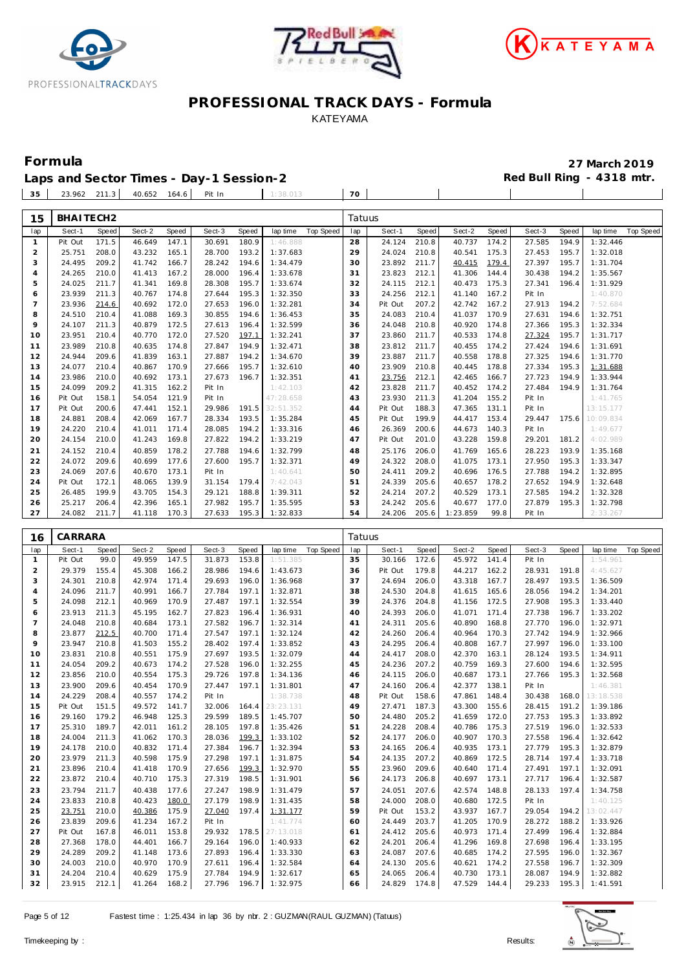





| Formula                                 | 27 March 2019             |
|-----------------------------------------|---------------------------|
| Laps and Sector Times - Day-1 Session-2 | Red Bull Ring - 4318 mtr. |

| 35 | 23.962 211.3 | 40.652 | 164.6 | Pit In | 38 OT | 70 |  |  |  |
|----|--------------|--------|-------|--------|-------|----|--|--|--|
|    |              |        |       |        |       |    |  |  |  |

| 15                  | BHAITECH2        |                |                  |                |                  |                |                       |                  | Tatuus   |                  |                |                  |                |                  |       |                      |           |
|---------------------|------------------|----------------|------------------|----------------|------------------|----------------|-----------------------|------------------|----------|------------------|----------------|------------------|----------------|------------------|-------|----------------------|-----------|
| lap                 | Sect-1           | Speed          | Sect-2           | Speed          | Sect-3           | Speed          | lap time              | <b>Top Speed</b> | lap      | Sect-1           | Speed          | Sect-2           | Speed          | Sect-3           | Speed | lap time             | Top Speed |
| $\mathbf{1}$        | Pit Out          | 171.5          | 46.649           | 147.1          | 30.691           | 180.9          | 1:46.888              |                  | 28       | 24.124           | 210.8          | 40.737           | 174.2          | 27.585           | 194.9 | 1:32.446             |           |
| $\overline{a}$      | 25.751           | 208.0          | 43.232           | 165.1          | 28.700           | 193.2          | 1:37.683              |                  | 29       | 24.024           | 210.8          | 40.541           | 175.3          | 27.453           | 195.7 | 1:32.018             |           |
| 3                   | 24.495           | 209.2          | 41.742           | 166.7          | 28.242           | 194.6          | 1:34.479              |                  | 30       | 23.892           | 211.7          | 40.415           | 179.4          | 27.397           | 195.7 | 1:31.704             |           |
| 4                   | 24.265           | 210.0          | 41.413           | 167.2          | 28.000           | 196.4          | 1:33.678              |                  | 31       | 23.823           | 212.1          | 41.306           | 144.4          | 30.438           | 194.2 | 1:35.567             |           |
| 5                   | 24.025           | 211.7          | 41.341           | 169.8          | 28.308           | 195.7          | 1:33.674              |                  | 32       | 24.115           | 212.1          | 40.473           | 175.3          | 27.341           | 196.4 | 1:31.929             |           |
| 6                   | 23.939           | 211.3          | 40.767           | 174.8          | 27.644           | 195.3          | 1:32.350              |                  | 33       | 24.256           | 212.1          | 41.140           | 167.2          | Pit In           |       | 1:40.870             |           |
| $\overline{7}$      | 23.936           | 214.6          | 40.692           | 172.0          | 27.653           | 196.0          | 1:32.281              |                  | 34       | Pit Out          | 207.2          | 42.742           | 167.2          | 27.913           | 194.2 | 7:52.684             |           |
| 8                   | 24.510           | 210.4          | 41.088           | 169.3          | 30.855           | 194.6          | 1:36.453              |                  | 35       | 24.083           | 210.4          | 41.037           | 170.9          | 27.631           | 194.6 | 1:32.751             |           |
| 9                   | 24.107           | 211.3          | 40.879           | 172.5          | 27.613           | 196.4          | 1:32.599              |                  | 36       | 24.048           | 210.8          | 40.920           | 174.8          | 27.366           | 195.3 | 1:32.334             |           |
| 10                  | 23.951           | 210.4          | 40.770           | 172.0          | 27.520           | 197.1          | 1:32.241              |                  | 37       | 23.860           | 211.7          | 40.533           | 174.8          | 27.324           | 195.7 | 1:31.717             |           |
| 11                  | 23.989           | 210.8          | 40.635           | 174.8          | 27.847           | 194.9          | 1:32.471              |                  | 38       | 23.812           | 211.7          | 40.455           | 174.2          | 27.424           | 194.6 | 1:31.691             |           |
| 12                  | 24.944           | 209.6          | 41.839           | 163.1          | 27.887           | 194.2          | 1:34.670              |                  | 39       | 23.887           | 211.7          | 40.558           | 178.8          | 27.325           | 194.6 | 1:31.770             |           |
| 13                  | 24.077           | 210.4          | 40.867           | 170.9          | 27.666           | 195.7          | 1:32.610              |                  | 40       | 23.909           | 210.8          | 40.445<br>42.465 | 178.8          | 27.334           | 195.3 | 1:31.688             |           |
| 14                  | 23.986<br>24.099 | 210.0          | 40.692           | 173.1          | 27.673           | 196.7          | 1:32.351              |                  | 41       | 23.756           | 212.1<br>211.7 |                  | 166.7<br>174.2 | 27.723<br>27.484 | 194.9 | 1:33.944             |           |
| 15<br>16            | Pit Out          | 209.2<br>158.1 | 41.315<br>54.054 | 162.2<br>121.9 | Pit In<br>Pit In |                | 1:42.103<br>47:28.658 |                  | 42<br>43 | 23.828<br>23.930 | 211.3          | 40.452<br>41.204 | 155.2          | Pit In           | 194.9 | 1:31.764<br>1:41.765 |           |
| 17                  | Pit Out          | 200.6          | 47.441           | 152.1          | 29.986           | 191.5          | 32:51.352             |                  | 44       | Pit Out          | 188.3          | 47.365           | 131.1          | Pit In           |       | 13:15.177            |           |
| 18                  | 24.881           | 208.4          | 42.069           | 167.7          | 28.334           | 193.5          | 1:35.284              |                  | 45       | Pit Out          | 199.9          | 44.417           | 153.4          | 29.447           | 175.6 | 10:09.834            |           |
| 19                  | 24.220           | 210.4          | 41.011           | 171.4          | 28.085           | 194.2          | 1:33.316              |                  | 46       | 26.369           | 200.6          | 44.673           | 140.3          | Pit In           |       | 1:49.677             |           |
| 20                  | 24.154           | 210.0          | 41.243           | 169.8          | 27.822           | 194.2          | 1:33.219              |                  | 47       | Pit Out          | 201.0          | 43.228           | 159.8          | 29.201           | 181.2 | 4:02.989             |           |
| 21                  | 24.152           | 210.4          | 40.859           | 178.2          | 27.788           | 194.6          | 1:32.799              |                  | 48       | 25.176           | 206.0          | 41.769           | 165.6          | 28.223           | 193.9 | 1:35.168             |           |
| 22                  | 24.072           | 209.6          | 40.699           | 177.6          | 27.600           | 195.7          | 1:32.371              |                  | 49       | 24.322           | 208.0          | 41.075           | 173.1          | 27.950           | 195.3 | 1:33.347             |           |
| 23                  | 24.069           | 207.6          | 40.670           | 173.1          | Pit In           |                | 1:40.641              |                  | 50       | 24.411           | 209.2          | 40.696           | 176.5          | 27.788           | 194.2 | 1:32.895             |           |
| 24                  | Pit Out          | 172.1          | 48.065           | 139.9          | 31.154           | 179.4          | 7:42.043              |                  | 51       | 24.339           | 205.6          | 40.657           | 178.2          | 27.652           | 194.9 | 1:32.648             |           |
| 25                  | 26.485           | 199.9          | 43.705           | 154.3          | 29.121           | 188.8          | 1:39.311              |                  | 52       | 24.214           | 207.2          | 40.529           | 173.1          | 27.585           | 194.2 | 1:32.328             |           |
| 26                  | 25.217           | 206.4          | 42.396           | 165.1          | 27.982           | 195.7          | 1:35.595              |                  | 53       | 24.242           | 205.6          | 40.677           | 177.0          | 27.879           | 195.3 | 1:32.798             |           |
| 27                  | 24.082           | 211.7          | 41.118           | 170.3          | 27.633           | 195.3          | 1:32.833              |                  | 54       | 24.206           | 205.6          | 1:23.859         | 99.8           | Pit In           |       | 2:33.267             |           |
|                     |                  |                |                  |                |                  |                |                       |                  |          |                  |                |                  |                |                  |       |                      |           |
| 16                  | CARRARA          |                |                  |                |                  |                |                       |                  | Tatuus   |                  |                |                  |                |                  |       |                      |           |
|                     |                  | Speed          | Sect-2           | Speed          | Sect-3           | Speed          | lap time              | <b>Top Speed</b> | lap      | Sect-1           | Speed          | Sect-2           | Speed          | Sect-3           | Speed | lap time             | Top Speed |
|                     | Sect-1           |                |                  |                |                  |                |                       |                  |          |                  |                |                  |                |                  |       |                      |           |
| lap<br>$\mathbf{1}$ | Pit Out          | 99.0           | 49.959           | 147.5          | 31.873           | 153.8          | 1:51.385              |                  | 35       | 30.166           | 172.6          | 45.972           | 141.4          | Pit In           |       | 1:54.961             |           |
| $\overline{c}$      | 29.379           | 155.4          | 45.308           | 166.2          | 28.986           | 194.6          | 1:43.673              |                  | 36       | Pit Out          | 179.8          | 44.217           | 162.2          | 28.931           | 191.8 | 4:45.627             |           |
| 3                   | 24.301           | 210.8          | 42.974           | 171.4          | 29.693           | 196.0          | 1:36.968              |                  | 37       | 24.694           | 206.0          | 43.318           | 167.7          | 28.497           | 193.5 | 1:36.509             |           |
| $\overline{4}$      | 24.096           | 211.7          | 40.991           | 166.7          | 27.784           | 197.1          | 1:32.871              |                  | 38       | 24.530           | 204.8          | 41.615           | 165.6          | 28.056           | 194.2 | 1:34.201             |           |
| 5                   | 24.098           | 212.1          | 40.969           | 170.9          | 27.487           | 197.1          | 1:32.554              |                  | 39       | 24.376           | 204.8          | 41.156           | 172.5          | 27.908           | 195.3 | 1:33.440             |           |
| 6                   | 23.913           | 211.3          | 45.195           | 162.7          | 27.823           | 196.4          | 1:36.931              |                  | 40       | 24.393           | 206.0          | 41.071           | 171.4          | 27.738           | 196.7 | 1:33.202             |           |
| $\overline{7}$      | 24.048           | 210.8          | 40.684           | 173.1          | 27.582           | 196.7          | 1:32.314              |                  | 41       | 24.311           | 205.6          | 40.890           | 168.8          | 27.770           | 196.0 | 1:32.971             |           |
| 8                   | 23.877           | 212.5          | 40.700           | 171.4          | 27.547           | 197.1          | 1:32.124              |                  | 42       | 24.260           | 206.4          | 40.964           | 170.3          | 27.742           | 194.9 | 1:32.966             |           |
| 9                   | 23.947           | 210.8          | 41.503           | 155.2          | 28.402           | 197.4          | 1:33.852              |                  | 43       | 24.295           | 206.4          | 40.808           | 167.7          | 27.997           | 196.0 | 1:33.100             |           |
| 10                  | 23.831           | 210.8          | 40.551           | 175.9          | 27.697           | 193.5          | 1:32.079              |                  | 44       | 24.417           | 208.0          | 42.370           | 163.1          | 28.124           | 193.5 | 1:34.911             |           |
| 11                  | 24.054           | 209.2          | 40.673           | 174.2          | 27.528           | 196.0          | 1:32.255              |                  | 45       | 24.236           | 207.2          | 40.759           | 169.3          | 27.600           | 194.6 | 1:32.595             |           |
| 12                  | 23.856           | 210.0          | 40.554           | 175.3          | 29.726           | 197.8          | 1:34.136              |                  | 46       | 24.115           | 206.0          | 40.687           | 173.1          | 27.766           | 195.3 | 1:32.568             |           |
| 13                  | 23.900           | 209.6          | 40.454           | 170.9          | 27.447           | 197.1          | 1:31.801              |                  | 47       | 24.160           | 206.4          | 42.377           | 138.1          | Pit In           |       | 1:46.381             |           |
| 14                  | 24.229           | 208.4          | 40.557           | 174.2          | Pit In           |                | 1:38.738              |                  | 48       | Pit Out          | 158.6          | 47.861           | 148.4          | 30.438           | 168.0 | 13:18.538            |           |
| 15                  | Pit Out          | 151.5          | 49.572           | 141.7          | 32.006           | 164.4          | 23:23.131             |                  | 49       | 27.471           | 187.3          | 43.300           | 155.6          | 28.415           | 191.2 | 1:39.186             |           |
| 16                  | 29.160           | 179.2          | 46.948           | 125.3          | 29.599           | 189.5          | 1:45.707              |                  | 50       | 24.480           | 205.2          | 41.659           | 172.0          | 27.753           | 195.3 | 1:33.892             |           |
| 17                  | 25.310           | 189.7          | 42.011           | 161.2          | 28.105           | 197.8          | 1:35.426              |                  | 51       | 24.228           | 208.4          | 40.786 175.3     |                | 27.519           | 196.0 | 1:32.533             |           |
| 18                  | 24.004           | 211.3          | 41.062           | 170.3          | 28.036           | 199.3          | 1:33.102              |                  | 52       | 24.177           | 206.0          | 40.907           | 170.3          | 27.558           | 196.4 | 1:32.642             |           |
| 19                  | 24.178           | 210.0          | 40.832           | 171.4          | 27.384           | 196.7          | 1:32.394              |                  | 53       | 24.165           | 206.4          | 40.935           | 173.1          | 27.779           | 195.3 | 1:32.879             |           |
| 20                  | 23.979           | 211.3          | 40.598           | 175.9          | 27.298           | 197.1          | 1:31.875              |                  | 54       | 24.135           | 207.2          | 40.869           | 172.5          | 28.714           | 197.4 | 1:33.718             |           |
| 21                  | 23.896           | 210.4          | 41.418           | 170.9          | 27.656           | 199.3          | 1:32.970              |                  | 55       | 23.960           | 209.6          | 40.640           | 171.4          | 27.491           | 197.1 | 1:32.091             |           |
| 22                  | 23.872           | 210.4          | 40.710           | 175.3          | 27.319           | 198.5          | 1:31.901              |                  | 56       | 24.173           | 206.8          | 40.697           | 173.1          | 27.717           | 196.4 | 1:32.587             |           |
| 23<br>24            | 23.794<br>23.833 | 211.7<br>210.8 | 40.438<br>40.423 | 177.6<br>180.0 | 27.247<br>27.179 | 198.9<br>198.9 | 1:31.479<br>1:31.435  |                  | 57<br>58 | 24.051<br>24.000 | 207.6<br>208.0 | 42.574<br>40.680 | 148.8<br>172.5 | 28.133<br>Pit In | 197.4 | 1:34.758<br>1:40.125 |           |
| 25                  | 23.751           | 210.0          | 40.386           | 175.9          | 27.040           | 197.4          | 1:31.177              |                  | 59       | Pit Out          | 153.2          | 43.937           | 167.7          | 29.054           | 194.2 | 13:02.447            |           |
| 26                  | 23.839           | 209.6          | 41.234           | 167.2          | Pit In           |                | 1:41.774              |                  | 60       | 24.449           | 203.7          | 41.205           | 170.9          | 28.272           | 188.2 | 1:33.926             |           |
| 27                  | Pit Out          | 167.8          | 46.011           | 153.8          | 29.932           | 178.5          | 27:13.018             |                  | 61       | 24.412           | 205.6          | 40.973           | 171.4          | 27.499           | 196.4 | 1:32.884             |           |
| 28                  | 27.368           | 178.0          | 44.401           | 166.7          | 29.164           | 196.0          | 1:40.933              |                  | 62       | 24.201           | 206.4          | 41.296           | 169.8          | 27.698           | 196.4 | 1:33.195             |           |
| 29                  | 24.289           | 209.2          | 41.148           | 173.6          | 27.893           | 196.4          | 1:33.330              |                  | 63       | 24.087           | 207.6          | 40.685           | 174.2          | 27.595           | 196.0 | 1:32.367             |           |
| 30                  | 24.003           | 210.0          | 40.970           | 170.9          | 27.611           | 196.4          | 1:32.584              |                  | 64       | 24.130           | 205.6          | 40.621           | 174.2          | 27.558           | 196.7 | 1:32.309             |           |
| 31                  | 24.204           | 210.4          | 40.629           | 175.9          | 27.784           | 194.9          | 1:32.617              |                  | 65       | 24.065           | 206.4          | 40.730           | 173.1          | 28.087           | 194.9 | 1:32.882             |           |

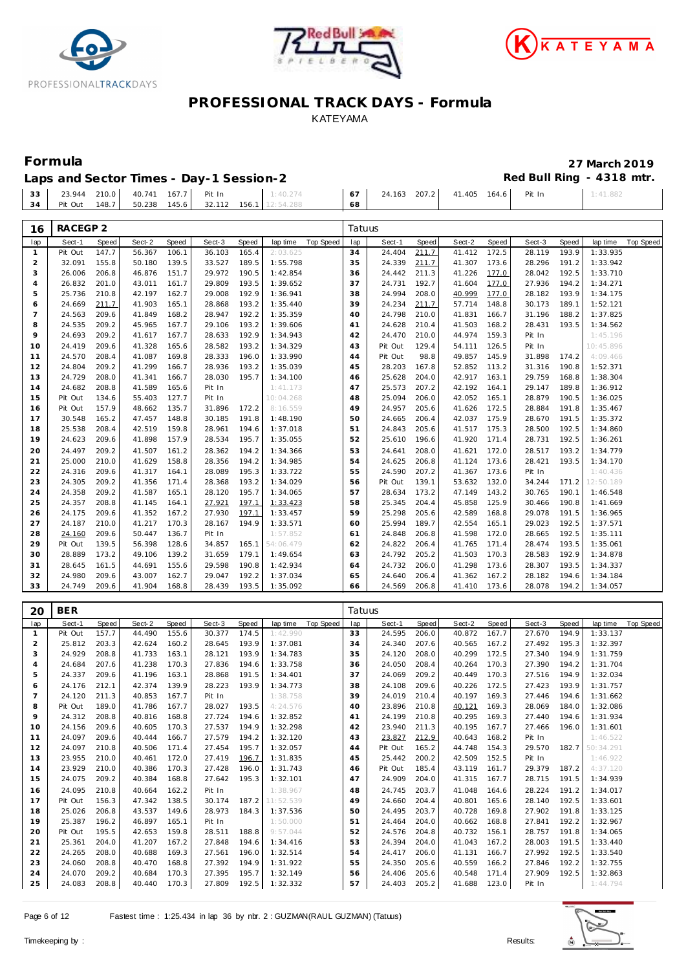





: 41.882

## **PROFESSIONAL TRACK DAYS - Formula** KATEYAMA

## **Formula 27 March 2019 Laps and Sector Times - Day-1 Session-2 Red Bull Ring - 4318 mtr.**

| Laps and Sector Times - Day-T Session-2 |  |  |                                                      |      |  |                                                                                                                         | REY DUIL RIIN |  |
|-----------------------------------------|--|--|------------------------------------------------------|------|--|-------------------------------------------------------------------------------------------------------------------------|---------------|--|
|                                         |  |  | 33 23.944 210.0 40.741 167.7 Pit In 1:40.274         |      |  | $\begin{array}{ c c c c c c c c } \hline \rule{0pt}{1.5ex} & 67 & 24.163 & 207.2 & 41.405 & 164.6 \\\hline \end{array}$ | Pit In        |  |
|                                         |  |  | 34 Pit Out 148.7 50.238 145.6 32.112 156.1 12:54.288 | 68 ' |  |                                                                                                                         |               |  |

| 16             | RACEGP <sub>2</sub> |       |        |       |        |       |           |           | Tatuus |         |       |        |       |        |       |           |           |
|----------------|---------------------|-------|--------|-------|--------|-------|-----------|-----------|--------|---------|-------|--------|-------|--------|-------|-----------|-----------|
| lap            | Sect-1              | Speed | Sect-2 | Speed | Sect-3 | Speed | lap time  | Top Speed | lap    | Sect-1  | Speed | Sect-2 | Speed | Sect-3 | Speed | lap time  | Top Speed |
| 1              | Pit Out             | 147.7 | 56.367 | 106.1 | 36.103 | 165.4 | 2:03.625  |           | 34     | 24.404  | 211.7 | 41.412 | 172.5 | 28.119 | 193.9 | 1:33.935  |           |
| $\overline{2}$ | 32.091              | 155.8 | 50.180 | 139.5 | 33.527 | 189.5 | 1:55.798  |           | 35     | 24.339  | 211.7 | 41.307 | 173.6 | 28.296 | 191.2 | 1:33.942  |           |
| 3              | 26.006              | 206.8 | 46.876 | 151.7 | 29.972 | 190.5 | 1:42.854  |           | 36     | 24.442  | 211.3 | 41.226 | 177.0 | 28.042 | 192.5 | 1:33.710  |           |
| $\overline{4}$ | 26.832              | 201.0 | 43.011 | 161.7 | 29.809 | 193.5 | 1:39.652  |           | 37     | 24.731  | 192.7 | 41.604 | 177.0 | 27.936 | 194.2 | 1:34.271  |           |
| 5              | 25.736              | 210.8 | 42.197 | 162.7 | 29.008 | 192.9 | 1:36.941  |           | 38     | 24.994  | 208.0 | 40.999 | 177.0 | 28.182 | 193.9 | 1:34.175  |           |
| 6              | 24.669              | 211.7 | 41.903 | 165.1 | 28.868 | 193.2 | 1:35.440  |           | 39     | 24.234  | 211.7 | 57.714 | 148.8 | 30.173 | 189.1 | 1:52.121  |           |
| $\overline{7}$ | 24.563              | 209.6 | 41.849 | 168.2 | 28.947 | 192.2 | 1:35.359  |           | 40     | 24.798  | 210.0 | 41.831 | 166.7 | 31.196 | 188.2 | 1:37.825  |           |
| 8              | 24.535              | 209.2 | 45.965 | 167.7 | 29.106 | 193.2 | 1:39.606  |           | 41     | 24.628  | 210.4 | 41.503 | 168.2 | 28.431 | 193.5 | 1:34.562  |           |
| 9              | 24.693              | 209.2 | 41.617 | 167.7 | 28.633 | 192.9 | 1:34.943  |           | 42     | 24.470  | 210.0 | 44.974 | 159.3 | Pit In |       | 1:45.196  |           |
| 10             | 24.419              | 209.6 | 41.328 | 165.6 | 28.582 | 193.2 | 1:34.329  |           | 43     | Pit Out | 129.4 | 54.111 | 126.5 | Pit In |       | 10:45.896 |           |
| 11             | 24.570              | 208.4 | 41.087 | 169.8 | 28.333 | 196.0 | 1:33.990  |           | 44     | Pit Out | 98.8  | 49.857 | 145.9 | 31.898 | 174.2 | 4:09.466  |           |
| 12             | 24.804              | 209.2 | 41.299 | 166.7 | 28.936 | 193.2 | 1:35.039  |           | 45     | 28.203  | 167.8 | 52.852 | 113.2 | 31.316 | 190.8 | 1:52.371  |           |
| 13             | 24.729              | 208.0 | 41.341 | 166.7 | 28.030 | 195.7 | 1:34.100  |           | 46     | 25.628  | 204.0 | 42.917 | 163.1 | 29.759 | 168.8 | 1:38.304  |           |
| 14             | 24.682              | 208.8 | 41.589 | 165.6 | Pit In |       | 1:41.173  |           | 47     | 25.573  | 207.2 | 42.192 | 164.1 | 29.147 | 189.8 | 1:36.912  |           |
| 15             | Pit Out             | 134.6 | 55.403 | 127.7 | Pit In |       | 10:04.268 |           | 48     | 25.094  | 206.0 | 42.052 | 165.1 | 28.879 | 190.5 | 1:36.025  |           |
| 16             | Pit Out             | 157.9 | 48.662 | 135.7 | 31.896 | 172.2 | 8:16.559  |           | 49     | 24.957  | 205.6 | 41.626 | 172.5 | 28.884 | 191.8 | 1:35.467  |           |
| 17             | 30.548              | 165.2 | 47.457 | 148.8 | 30.185 | 191.8 | 1:48.190  |           | 50     | 24.665  | 206.4 | 42.037 | 175.9 | 28.670 | 191.5 | 1:35.372  |           |
| 18             | 25.538              | 208.4 | 42.519 | 159.8 | 28.961 | 194.6 | 1:37.018  |           | 51     | 24.843  | 205.6 | 41.517 | 175.3 | 28.500 | 192.5 | 1:34.860  |           |
| 19             | 24.623              | 209.6 | 41.898 | 157.9 | 28.534 | 195.7 | 1:35.055  |           | 52     | 25.610  | 196.6 | 41.920 | 171.4 | 28.731 | 192.5 | 1:36.261  |           |
| 20             | 24.497              | 209.2 | 41.507 | 161.2 | 28.362 | 194.2 | 1:34.366  |           | 53     | 24.641  | 208.0 | 41.621 | 172.0 | 28.517 | 193.2 | 1:34.779  |           |
| 21             | 25.000              | 210.0 | 41.629 | 158.8 | 28.356 | 194.2 | 1:34.985  |           | 54     | 24.625  | 206.8 | 41.124 | 173.6 | 28.421 | 193.5 | 1:34.170  |           |
| 22             | 24.316              | 209.6 | 41.317 | 164.1 | 28.089 | 195.3 | 1:33.722  |           | 55     | 24.590  | 207.2 | 41.367 | 173.6 | Pit In |       | 1:40.436  |           |
| 23             | 24.305              | 209.2 | 41.356 | 171.4 | 28.368 | 193.2 | 1:34.029  |           | 56     | Pit Out | 139.1 | 53.632 | 132.0 | 34.244 | 171.2 | 12:50.189 |           |
| 24             | 24.358              | 209.2 | 41.587 | 165.1 | 28.120 | 195.7 | 1:34.065  |           | 57     | 28.634  | 173.2 | 47.149 | 143.2 | 30.765 | 190.1 | 1:46.548  |           |
| 25             | 24.357              | 208.8 | 41.145 | 164.1 | 27.921 | 197.1 | 1:33.423  |           | 58     | 25.345  | 204.4 | 45.858 | 125.9 | 30.466 | 190.8 | 1:41.669  |           |
| 26             | 24.175              | 209.6 | 41.352 | 167.2 | 27.930 | 197.1 | 1:33.457  |           | 59     | 25.298  | 205.6 | 42.589 | 168.8 | 29.078 | 191.5 | 1:36.965  |           |
| 27             | 24.187              | 210.0 | 41.217 | 170.3 | 28.167 | 194.9 | 1:33.571  |           | 60     | 25.994  | 189.7 | 42.554 | 165.1 | 29.023 | 192.5 | 1:37.571  |           |
| 28             | 24.160              | 209.6 | 50.447 | 136.7 | Pit In |       | 1:57.852  |           | 61     | 24.848  | 206.8 | 41.598 | 172.0 | 28.665 | 192.5 | 1:35.111  |           |
| 29             | Pit Out             | 139.5 | 56.398 | 128.6 | 34.857 | 165.1 | 54:06.479 |           | 62     | 24.822  | 206.4 | 41.765 | 171.4 | 28.474 | 193.5 | 1:35.061  |           |
| 30             | 28.889              | 173.2 | 49.106 | 139.2 | 31.659 | 179.1 | 1:49.654  |           | 63     | 24.792  | 205.2 | 41.503 | 170.3 | 28.583 | 192.9 | 1:34.878  |           |
| 31             | 28.645              | 161.5 | 44.691 | 155.6 | 29.598 | 190.8 | 1:42.934  |           | 64     | 24.732  | 206.0 | 41.298 | 173.6 | 28.307 | 193.5 | 1:34.337  |           |
| 32             | 24.980              | 209.6 | 43.007 | 162.7 | 29.047 | 192.2 | 1:37.034  |           | 65     | 24.640  | 206.4 | 41.362 | 167.2 | 28.182 | 194.6 | 1:34.184  |           |
| 33             | 24.749              | 209.6 | 41.904 | 168.8 | 28.439 | 193.5 | 1:35.092  |           | 66     | 24.569  | 206.8 | 41.410 | 173.6 | 28.078 | 194.2 | 1:34.057  |           |
|                |                     |       |        |       |        |       |           |           |        |         |       |        |       |        |       |           |           |
| 20             | <b>BER</b>          |       |        |       |        |       |           |           | Tatuus |         |       |        |       |        |       |           |           |

| ZU             | DER     |       |        |       |        |       |           |                  | Tatuus |         |       |        |       |        |       |           |           |
|----------------|---------|-------|--------|-------|--------|-------|-----------|------------------|--------|---------|-------|--------|-------|--------|-------|-----------|-----------|
| lap            | Sect-1  | Speed | Sect-2 | Speed | Sect-3 | Speed | lap time  | <b>Top Speed</b> | lap    | Sect-1  | Speed | Sect-2 | Speed | Sect-3 | Speed | lap time  | Top Speed |
|                | Pit Out | 157.7 | 44.490 | 155.6 | 30.377 | 174.5 | 1:42.990  |                  | 33     | 24.595  | 206.0 | 40.872 | 167.7 | 27.670 | 194.9 | 1:33.137  |           |
| 2              | 25.812  | 203.3 | 42.624 | 160.2 | 28.645 | 193.9 | 1:37.081  |                  | 34     | 24.340  | 207.6 | 40.565 | 167.2 | 27.492 | 195.3 | 1:32.397  |           |
| 3              | 24.929  | 208.8 | 41.733 | 163.1 | 28.121 | 193.9 | 1:34.783  |                  | 35     | 24.120  | 208.0 | 40.299 | 172.5 | 27.340 | 194.9 | 1:31.759  |           |
| 4              | 24.684  | 207.6 | 41.238 | 170.3 | 27.836 | 194.6 | 1:33.758  |                  | 36     | 24.050  | 208.4 | 40.264 | 170.3 | 27.390 | 194.2 | 1:31.704  |           |
| 5              | 24.337  | 209.6 | 41.196 | 163.1 | 28.868 | 191.5 | 1:34.401  |                  | 37     | 24.069  | 209.2 | 40.449 | 170.3 | 27.516 | 194.9 | 1:32.034  |           |
| 6              | 24.176  | 212.1 | 42.374 | 139.9 | 28.223 | 193.9 | 1:34.773  |                  | 38     | 24.108  | 209.6 | 40.226 | 172.5 | 27.423 | 193.9 | 1:31.757  |           |
| $\overline{7}$ | 24.120  | 211.3 | 40.853 | 167.7 | Pit In |       | 1:38.758  |                  | 39     | 24.019  | 210.4 | 40.197 | 169.3 | 27.446 | 194.6 | 1:31.662  |           |
| 8              | Pit Out | 189.0 | 41.786 | 167.7 | 28.027 | 193.5 | 4:24.576  |                  | 40     | 23.896  | 210.8 | 40.121 | 169.3 | 28.069 | 184.0 | 1:32.086  |           |
| 9              | 24.312  | 208.8 | 40.816 | 168.8 | 27.724 | 194.6 | 1:32.852  |                  | 41     | 24.199  | 210.8 | 40.295 | 169.3 | 27.440 | 194.6 | 1:31.934  |           |
| 10             | 24.156  | 209.6 | 40.605 | 170.3 | 27.537 | 194.9 | 1:32.298  |                  | 42     | 23.940  | 211.3 | 40.195 | 167.7 | 27.466 | 196.0 | 1:31.601  |           |
| 11             | 24.097  | 209.6 | 40.444 | 166.7 | 27.579 | 194.2 | 1:32.120  |                  | 43     | 23.827  | 212.9 | 40.643 | 168.2 | Pit In |       | 1:46.522  |           |
| 12             | 24.097  | 210.8 | 40.506 | 171.4 | 27.454 | 195.7 | 1:32.057  |                  | 44     | Pit Out | 165.2 | 44.748 | 154.3 | 29.570 | 182.7 | 50:34.291 |           |
| 13             | 23.955  | 210.0 | 40.461 | 172.0 | 27.419 | 196.7 | 1:31.835  |                  | 45     | 25.442  | 200.2 | 42.509 | 152.5 | Pit In |       | 1:46.922  |           |
| 14             | 23.929  | 210.0 | 40.386 | 170.3 | 27.428 | 196.0 | 1:31.743  |                  | 46     | Pit Out | 185.4 | 43.119 | 161.7 | 29.379 | 187.2 | 4:37.120  |           |
| 15             | 24.075  | 209.2 | 40.384 | 168.8 | 27.642 | 195.3 | 1:32.101  |                  | 47     | 24.909  | 204.0 | 41.315 | 167.7 | 28.715 | 191.5 | 1:34.939  |           |
| 16             | 24.095  | 210.8 | 40.664 | 162.2 | Pit In |       | 1:38.967  |                  | 48     | 24.745  | 203.7 | 41.048 | 164.6 | 28.224 | 191.2 | 1:34.017  |           |
| 17             | Pit Out | 156.3 | 47.342 | 138.5 | 30.174 | 187.2 | 11:52.539 |                  | 49     | 24.660  | 204.4 | 40.801 | 165.6 | 28.140 | 192.5 | 1:33.601  |           |
| 18             | 25.026  | 206.8 | 43.537 | 149.6 | 28.973 | 184.3 | 1:37.536  |                  | 50     | 24.495  | 203.7 | 40.728 | 169.8 | 27.902 | 191.8 | 1:33.125  |           |
| 19             | 25.387  | 196.2 | 46.897 | 165.1 | Pit In |       | 1:50.000  |                  | 51     | 24.464  | 204.0 | 40.662 | 168.8 | 27.841 | 192.2 | 1:32.967  |           |
| 20             | Pit Out | 195.5 | 42.653 | 159.8 | 28.511 | 188.8 | 9:57.044  |                  | 52     | 24.576  | 204.8 | 40.732 | 156.1 | 28.757 | 191.8 | 1:34.065  |           |
| 21             | 25.361  | 204.0 | 41.207 | 167.2 | 27.848 | 194.6 | 1:34.416  |                  | 53     | 24.394  | 204.0 | 41.043 | 167.2 | 28.003 | 191.5 | 1:33.440  |           |
| 22             | 24.265  | 208.0 | 40.688 | 169.3 | 27.561 | 196.0 | 1:32.514  |                  | 54     | 24.417  | 206.0 | 41.131 | 166.7 | 27.992 | 192.5 | 1:33.540  |           |
| 23             | 24.060  | 208.8 | 40.470 | 168.8 | 27.392 | 194.9 | 1:31.922  |                  | 55     | 24.350  | 205.6 | 40.559 | 166.2 | 27.846 | 192.2 | 1:32.755  |           |
| 24             | 24.070  | 209.2 | 40.684 | 170.3 | 27.395 | 195.7 | 1:32.149  |                  | 56     | 24.406  | 205.6 | 40.548 | 171.4 | 27.909 | 192.5 | 1:32.863  |           |
| 25             | 24.083  | 208.8 | 40.440 | 170.3 | 27.809 | 192.5 | 1:32.332  |                  | 57     | 24.403  | 205.2 | 41.688 | 123.0 | Pit In |       | 1:44.794  |           |

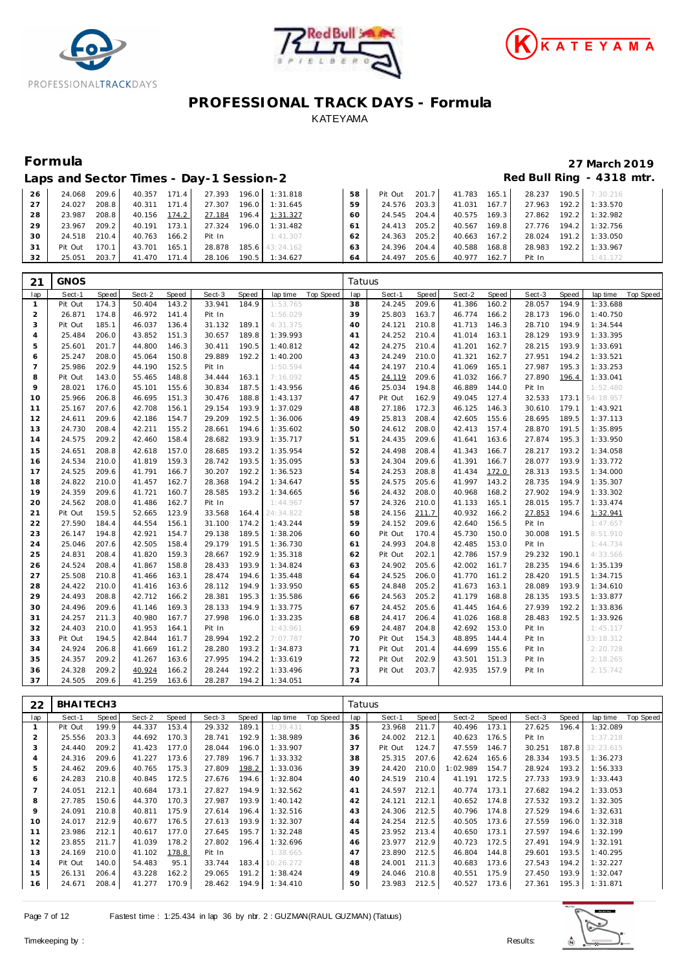





## **Formula 27 March 2019**

24.413 205.2 40.567 169.8 27.776 194.2 1:32.756

|                 | Laps and Sector Times - Day-1 Session-2 |  |                                                 |                                                    |      |  |  |                                                    | Red Bull Ring - 4318 mtr.                           |
|-----------------|-----------------------------------------|--|-------------------------------------------------|----------------------------------------------------|------|--|--|----------------------------------------------------|-----------------------------------------------------|
|                 |                                         |  |                                                 | 26 24.068 209.6 40.357 171.4 27.393 196.0 1:31.818 |      |  |  |                                                    | 58 Pit Out 201.7 41.783 165.1 28.237 190.5 7:30.216 |
| 27 <sup>1</sup> |                                         |  | 24.027 208.8 40.311 171.4 27.307 196.0 1:31.645 |                                                    |      |  |  | 59 24.576 203.3 41.031 167.7 27.963 192.2 1:33.570 |                                                     |
| 28              |                                         |  | 23.987 208.8 40.156 174.2 27.184 196.4 1:31.327 |                                                    | 60 I |  |  | 24.545 204.4 40.575 169.3 27.862 192.2 1:32.982    |                                                     |
|                 |                                         |  |                                                 |                                                    |      |  |  |                                                    |                                                     |

23.967 209.2 40.191 173.1 27.324 196.0 1:31.482

| 30             | 24.518      | 210.4 | 40.763 | 166.2 | Pit In |       | 1:41.307  |           | 62     | 24.363  | 205.2 | 40.663 | 167.2 | 28.024 | 191.2 | 1:33.050  |                  |
|----------------|-------------|-------|--------|-------|--------|-------|-----------|-----------|--------|---------|-------|--------|-------|--------|-------|-----------|------------------|
| 31             | Pit Out     | 170.1 | 43.701 | 165.1 | 28.878 | 185.6 | 43:24.162 |           | 63     | 24.396  | 204.4 | 40.588 | 168.8 | 28.983 | 192.2 | 1:33.967  |                  |
| 32             | 25.051      | 203.7 | 41.470 | 171.4 | 28.106 | 190.5 | 1:34.627  |           | 64     | 24.497  | 205.6 | 40.977 | 162.7 | Pit In |       | 1:41.172  |                  |
|                |             |       |        |       |        |       |           |           |        |         |       |        |       |        |       |           |                  |
| 21             | <b>GNOS</b> |       |        |       |        |       |           |           | Tatuus |         |       |        |       |        |       |           |                  |
| lap            | Sect-1      | Speed | Sect-2 | Speed | Sect-3 | Speed | lap time  | Top Speed | lap    | Sect-1  | Speed | Sect-2 | Speed | Sect-3 | Speed | lap time  | <b>Top Speed</b> |
| 1              | Pit Out     | 174.3 | 50.404 | 143.2 | 33.941 | 184.9 | 1:53.765  |           | 38     | 24.245  | 209.6 | 41.386 | 160.2 | 28.057 | 194.9 | 1:33.688  |                  |
| $\overline{2}$ | 26.871      | 174.8 | 46.972 | 141.4 | Pit In |       | 1:56.029  |           | 39     | 25.803  | 163.7 | 46.774 | 166.2 | 28.173 | 196.0 | 1:40.750  |                  |
| 3              | Pit Out     | 185.1 | 46.037 | 136.4 | 31.132 | 189.1 | 4:31.375  |           | 40     | 24.121  | 210.8 | 41.713 | 146.3 | 28.710 | 194.9 | 1:34.544  |                  |
| $\overline{4}$ | 25.484      | 206.0 | 43.852 | 151.3 | 30.657 | 189.8 | 1:39.993  |           | 41     | 24.252  | 210.4 | 41.014 | 163.1 | 28.129 | 193.9 | 1:33.395  |                  |
| 5              | 25.601      | 201.7 | 44.800 | 146.3 | 30.411 | 190.5 | 1:40.812  |           | 42     | 24.275  | 210.4 | 41.201 | 162.7 | 28.215 | 193.9 | 1:33.691  |                  |
| 6              | 25.247      | 208.0 | 45.064 | 150.8 | 29.889 | 192.2 | 1:40.200  |           | 43     | 24.249  | 210.0 | 41.321 | 162.7 | 27.951 | 194.2 | 1:33.521  |                  |
| $\overline{7}$ | 25.986      | 202.9 | 44.190 | 152.5 | Pit In |       | 1:50.594  |           | 44     | 24.197  | 210.4 | 41.069 | 165.1 | 27.987 | 195.3 | 1:33.253  |                  |
| 8              | Pit Out     | 143.0 | 55.465 | 148.8 | 34.444 | 163.1 | 7:16.092  |           | 45     | 24.119  | 209.6 | 41.032 | 166.7 | 27.890 | 196.4 | 1:33.041  |                  |
| 9              | 28.021      | 176.0 | 45.101 | 155.6 | 30.834 | 187.5 | 1:43.956  |           | 46     | 25.034  | 194.8 | 46.889 | 144.0 | Pit In |       | 1:52.480  |                  |
| 10             | 25.966      | 206.8 | 46.695 | 151.3 | 30.476 | 188.8 | 1:43.137  |           | 47     | Pit Out | 162.9 | 49.045 | 127.4 | 32.533 | 173.1 | 54:18.957 |                  |
| 11             | 25.167      | 207.6 | 42.708 | 156.1 | 29.154 | 193.9 | 1:37.029  |           | 48     | 27.186  | 172.3 | 46.125 | 146.3 | 30.610 | 179.1 | 1:43.921  |                  |
| 12             | 24.611      | 209.6 | 42.186 | 154.7 | 29.209 | 192.5 | 1:36.006  |           | 49     | 25.813  | 208.4 | 42.605 | 155.6 | 28.695 | 189.5 | 1:37.113  |                  |
| 13             | 24.730      | 208.4 | 42.211 | 155.2 | 28.661 | 194.6 | 1:35.602  |           | 50     | 24.612  | 208.0 | 42.413 | 157.4 | 28.870 | 191.5 | 1:35.895  |                  |
| 14             | 24.575      | 209.2 | 42.460 | 158.4 | 28.682 | 193.9 | 1:35.717  |           | 51     | 24.435  | 209.6 | 41.641 | 163.6 | 27.874 | 195.3 | 1:33.950  |                  |
| 15             | 24.651      | 208.8 | 42.618 | 157.0 | 28.685 | 193.2 | 1:35.954  |           | 52     | 24.498  | 208.4 | 41.343 | 166.7 | 28.217 | 193.2 | 1:34.058  |                  |
| 16             | 24.534      | 210.0 | 41.819 | 159.3 | 28.742 | 193.5 | 1:35.095  |           | 53     | 24.304  | 209.6 | 41.391 | 166.7 | 28.077 | 193.9 | 1:33.772  |                  |
| 17             | 24.525      | 209.6 | 41.791 | 166.7 | 30.207 | 192.2 | 1:36.523  |           | 54     | 24.253  | 208.8 | 41.434 | 172.0 | 28.313 | 193.5 | 1:34.000  |                  |
| 18             | 24.822      | 210.0 | 41.457 | 162.7 | 28.368 | 194.2 | 1:34.647  |           | 55     | 24.575  | 205.6 | 41.997 | 143.2 | 28.735 | 194.9 | 1:35.307  |                  |
| 19             | 24.359      | 209.6 | 41.721 | 160.7 | 28.585 | 193.2 | 1:34.665  |           | 56     | 24.432  | 208.0 | 40.968 | 168.2 | 27.902 | 194.9 | 1:33.302  |                  |
| 20             | 24.562      | 208.0 | 41.486 | 162.7 | Pit In |       | 1:44.967  |           | 57     | 24.326  | 210.0 | 41.133 | 165.1 | 28.015 | 195.7 | 1:33.474  |                  |
| 21             | Pit Out     | 159.5 | 52.665 | 123.9 | 33.568 | 164.4 | 24:34.822 |           | 58     | 24.156  | 211.7 | 40.932 | 166.2 | 27.853 | 194.6 | 1:32.941  |                  |
| 22             | 27.590      | 184.4 | 44.554 | 156.1 | 31.100 | 174.2 | 1:43.244  |           | 59     | 24.152  | 209.6 | 42.640 | 156.5 | Pit In |       | 1:47.657  |                  |
| 23             | 26.147      | 194.8 | 42.921 | 154.7 | 29.138 | 189.5 | 1:38.206  |           | 60     | Pit Out | 170.4 | 45.730 | 150.0 | 30.008 | 191.5 | 8:51.910  |                  |
| 24             | 25.046      | 207.6 | 42.505 | 158.4 | 29.179 | 191.5 | 1:36.730  |           | 61     | 24.993  | 204.8 | 42.485 | 153.0 | Pit In |       | 1:44.734  |                  |
| 25             | 24.831      | 208.4 | 41.820 | 159.3 | 28.667 | 192.9 | 1:35.318  |           | 62     | Pit Out | 202.1 | 42.786 | 157.9 | 29.232 | 190.1 | 4:33.566  |                  |
| 26             | 24.524      | 208.4 | 41.867 | 158.8 | 28.433 | 193.9 | 1:34.824  |           | 63     | 24.902  | 205.6 | 42.002 | 161.7 | 28.235 | 194.6 | 1:35.139  |                  |
| 27             | 25.508      | 210.8 | 41.466 | 163.1 | 28.474 | 194.6 | 1:35.448  |           | 64     | 24.525  | 206.0 | 41.770 | 161.2 | 28.420 | 191.5 | 1:34.715  |                  |
| 28             | 24.422      | 210.0 | 41.416 | 163.6 | 28.112 | 194.9 | 1:33.950  |           | 65     | 24.848  | 205.2 | 41.673 | 163.1 | 28.089 | 193.9 | 1:34.610  |                  |
| 29             | 24.493      | 208.8 | 42.712 | 166.2 | 28.381 | 195.3 | 1:35.586  |           | 66     | 24.563  | 205.2 | 41.179 | 168.8 | 28.135 | 193.5 | 1:33.877  |                  |
| 30             | 24.496      | 209.6 | 41.146 | 169.3 | 28.133 | 194.9 | 1:33.775  |           | 67     | 24.452  | 205.6 | 41.445 | 164.6 | 27.939 | 192.2 | 1:33.836  |                  |
| 31             | 24.257      | 211.3 | 40.980 | 167.7 | 27.998 | 196.0 | 1:33.235  |           | 68     | 24.417  | 206.4 | 41.026 | 168.8 | 28.483 | 192.5 | 1:33.926  |                  |
| 32             | 24.403      | 210.0 | 41.953 | 164.1 | Pit In |       | 1:43.961  |           | 69     | 24.487  | 204.8 | 42.692 | 153.0 | Pit In |       | 1:45.117  |                  |
| 33             | Pit Out     | 194.5 | 42.844 | 161.7 | 28.994 | 192.2 | 7:07.787  |           | 70     | Pit Out | 154.3 | 48.895 | 144.4 | Pit In |       | 33:18.312 |                  |
| 34             | 24.924      | 206.8 | 41.669 | 161.2 | 28.280 | 193.2 | 1:34.873  |           | 71     | Pit Out | 201.4 | 44.699 | 155.6 | Pit In |       | 2:20.728  |                  |
| 35             | 24.357      | 209.2 | 41.267 | 163.6 | 27.995 | 194.2 | 1:33.619  |           | 72     | Pit Out | 202.9 | 43.501 | 151.3 | Pit In |       | 2:18.265  |                  |
| 36             | 24.328      | 209.2 | 40.924 | 166.2 | 28.244 | 192.2 | 1:33.496  |           | 73     | Pit Out | 203.7 | 42.935 | 157.9 | Pit In |       | 2:15.742  |                  |
| 37             | 24.505      | 209.6 | 41.259 | 163.6 | 28.287 | 194.2 | 1:34.051  |           | 74     |         |       |        |       |        |       |           |                  |
|                |             |       |        |       |        |       |           |           |        |         |       |        |       |        |       |           |                  |

| 22  | BHAITECH3 |       |        |       |        |       |           |           | Tatuus         |         |       |          |       |        |       |           |           |
|-----|-----------|-------|--------|-------|--------|-------|-----------|-----------|----------------|---------|-------|----------|-------|--------|-------|-----------|-----------|
| lap | Sect-1    | Speed | Sect-2 | Speed | Sect-3 | Speed | lap time  | Top Speed | lap            | Sect-1  | Speed | Sect-2   | Speed | Sect-3 | Speed | lap time  | Top Speed |
|     | Pit Out   | 199.9 | 44.337 | 153.4 | 29.332 | 189.1 | 1:39.431  |           | 35             | 23.968  | 211.7 | 40.496   | 173.1 | 27.625 | 196.4 | 1:32.089  |           |
| 2   | 25.556    | 203.3 | 44.692 | 170.3 | 28.741 | 192.9 | 1:38.989  |           | 36             | 24.002  | 212.1 | 40.623   | 176.5 | Pit In |       | 1:37.218  |           |
| 3   | 24.440    | 209.2 | 41.423 | 177.0 | 28.044 | 196.0 | 1:33.907  |           | 37             | Pit Out | 124.7 | 47.559   | 146.7 | 30.251 | 187.8 | 32:23.615 |           |
| 4   | 24.316    | 209.6 | 41.227 | 173.6 | 27.789 | 196.7 | 1:33.332  |           | 38             | 25.315  | 207.6 | 42.624   | 165.6 | 28.334 | 193.5 | 1:36.273  |           |
| 5   | 24.462    | 209.6 | 40.765 | 175.3 | 27.809 | 198.2 | 1:33.036  |           | 39             | 24.420  | 210.0 | 1:02.989 | 154.7 | 28.924 | 193.2 | 1:56.333  |           |
| 6   | 24.283    | 210.8 | 40.845 | 172.5 | 27.676 | 194.6 | 1:32.804  |           | 40             | 24.519  | 210.4 | 41.191   | 172.5 | 27.733 | 193.9 | 1:33.443  |           |
|     | 24.051    | 212.1 | 40.684 | 173.1 | 27.827 | 194.9 | 1:32.562  |           | 4 <sup>1</sup> | 24.597  | 212.1 | 40.774   | 173.1 | 27.682 | 194.2 | 1:33.053  |           |
| 8   | 27.785    | 150.6 | 44.370 | 170.3 | 27.987 | 193.9 | 1:40.142  |           | 42             | 24.121  | 212.1 | 40.652   | 174.8 | 27.532 | 193.2 | 1:32.305  |           |
| 9   | 24.091    | 210.8 | 40.811 | 175.9 | 27.614 | 196.4 | 1:32.516  |           | 43             | 24.306  | 212.5 | 40.796   | 174.8 | 27.529 | 194.6 | 1:32.631  |           |
| 10  | 24.017    | 212.9 | 40.677 | 176.5 | 27.613 | 193.9 | 1:32.307  |           | 44             | 24.254  | 212.5 | 40.505   | 173.6 | 27.559 | 196.0 | 1:32.318  |           |
| 11  | 23.986    | 212.1 | 40.617 | 177.0 | 27.645 | 195.7 | 1:32.248  |           | 45             | 23.952  | 213.4 | 40.650   | 173.1 | 27.597 | 194.6 | 1:32.199  |           |
| 12  | 23.855    | 211.7 | 41.039 | 178.2 | 27.802 | 196.4 | 1:32.696  |           | 46             | 23.977  | 212.9 | 40.723   | 172.5 | 27.491 | 194.9 | 1:32.191  |           |
| 13  | 24.169    | 210.0 | 41.102 | 178.8 | Pit In |       | 1:38.665  |           | 47             | 23.890  | 212.5 | 46.804   | 144.8 | 29.601 | 193.5 | 1:40.295  |           |
| 14  | Pit Out   | 140.0 | 54.483 | 95.1  | 33.744 | 183.4 | 10:26.272 |           | 48             | 24.001  | 211.3 | 40.683   | 173.6 | 27.543 | 194.2 | 1:32.227  |           |
| 15  | 26.131    | 206.4 | 43.228 | 162.2 | 29.065 | 191.2 | 1:38.424  |           | 49             | 24.046  | 210.8 | 40.551   | 175.9 | 27.450 | 193.9 | 1:32.047  |           |
| 16  | 24.671    | 208.4 | 41.277 | 170.9 | 28.462 | 194.9 | 1:34.410  |           | 50             | 23.983  | 212.5 | 40.527   | 173.6 | 27.361 | 195.3 | 1:31.871  |           |

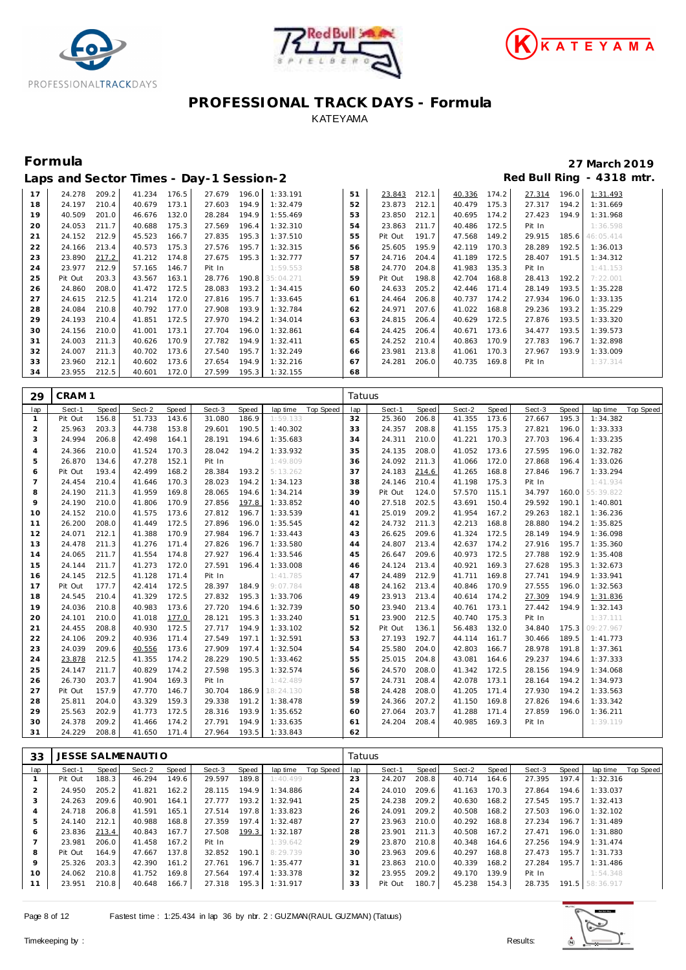





|    |         |       |        |       | Laps and Sector Times - Day-1 Session-2 |       |           |    |         |       |        |       |        |       | Red Bull Ring - 4318 mtr. |
|----|---------|-------|--------|-------|-----------------------------------------|-------|-----------|----|---------|-------|--------|-------|--------|-------|---------------------------|
| 17 | 24.278  | 209.2 | 41.234 | 176.5 | 27.679                                  | 196.0 | 1:33.191  | 51 | 23.843  | 212.1 | 40.336 | 174.2 | 27.314 | 196.0 | 1:31.493                  |
| 18 | 24.197  | 210.4 | 40.679 | 173.1 | 27.603                                  | 194.9 | 1:32.479  | 52 | 23.873  | 212.1 | 40.479 | 175.3 | 27.317 | 194.2 | 1:31.669                  |
| 19 | 40.509  | 201.0 | 46.676 | 132.0 | 28.284                                  | 194.9 | 1:55.469  | 53 | 23.850  | 212.1 | 40.695 | 174.2 | 27.423 | 194.9 | 1:31.968                  |
| 20 | 24.053  | 211.7 | 40.688 | 175.3 | 27.569                                  | 196.4 | 1:32.310  | 54 | 23.863  | 211.7 | 40.486 | 172.5 | Pit In |       | 1:36.598                  |
| 21 | 24.152  | 212.9 | 45.523 | 166.7 | 27.835                                  | 195.3 | 1:37.510  | 55 | Pit Out | 191.7 | 47.568 | 149.2 | 29.915 | 185.6 | 46:05.414                 |
| 22 | 24.166  | 213.4 | 40.573 | 175.3 | 27.576                                  | 195.7 | 1:32.315  | 56 | 25.605  | 195.9 | 42.119 | 170.3 | 28.289 | 192.5 | 1:36.013                  |
| 23 | 23.890  | 217.2 | 41.212 | 174.8 | 27.675                                  | 195.3 | 1:32.777  | 57 | 24.716  | 204.4 | 41.189 | 172.5 | 28.407 | 191.5 | 1:34.312                  |
| 24 | 23.977  | 212.9 | 57.165 | 146.7 | Pit In                                  |       | 1:59.553  | 58 | 24.770  | 204.8 | 41.983 | 135.3 | Pit In |       | 1:41.153                  |
| 25 | Pit Out | 203.3 | 43.567 | 163.1 | 28.776                                  | 190.8 | 35:04.271 | 59 | Pit Out | 198.8 | 42.704 | 168.8 | 28.413 | 192.2 | 7:22.001                  |
| 26 | 24.860  | 208.0 | 41.472 | 172.5 | 28.083                                  | 193.2 | 1:34.415  | 60 | 24.633  | 205.2 | 42.446 | 171.4 | 28.149 | 193.5 | 1:35.228                  |
| 27 | 24.615  | 212.5 | 41.214 | 172.0 | 27.816                                  | 195.7 | 1:33.645  | 61 | 24.464  | 206.8 | 40.737 | 174.2 | 27.934 | 196.0 | 1:33.135                  |
| 28 | 24.084  | 210.8 | 40.792 | 177.0 | 27.908                                  | 193.9 | 1:32.784  | 62 | 24.971  | 207.6 | 41.022 | 168.8 | 29.236 | 193.2 | 1:35.229                  |
| 29 | 24.193  | 210.4 | 41.851 | 172.5 | 27.970                                  | 194.2 | 1:34.014  | 63 | 24.815  | 206.4 | 40.629 | 172.5 | 27.876 | 193.5 | 1:33.320                  |
| 30 | 24.156  | 210.0 | 41.001 | 173.1 | 27.704                                  | 196.0 | 1:32.861  | 64 | 24.425  | 206.4 | 40.671 | 173.6 | 34.477 | 193.5 | 1:39.573                  |
| 31 | 24.003  | 211.3 | 40.626 | 170.9 | 27.782                                  | 194.9 | 1:32.411  | 65 | 24.252  | 210.4 | 40.863 | 170.9 | 27.783 | 196.7 | 1:32.898                  |
| 32 | 24.007  | 211.3 | 40.702 | 173.6 | 27.540                                  | 195.7 | 1:32.249  | 66 | 23.981  | 213.8 | 41.061 | 170.3 | 27.967 | 193.9 | 1:33.009                  |
| 33 | 23.960  | 212.1 | 40.602 | 173.6 | 27.654                                  | 194.9 | 1:32.216  | 67 | 24.281  | 206.0 | 40.735 | 169.8 | Pit In |       | 1:37.314                  |
| 34 | 23.955  | 212.5 | 40.601 | 172.0 | 27.599                                  | 195.3 | 1:32.155  | 68 |         |       |        |       |        |       |                           |

| 29             | CRAM <sub>1</sub> |       |        |       |        |       |           |                  | Tatuus |         |       |        |       |        |       |           |                  |
|----------------|-------------------|-------|--------|-------|--------|-------|-----------|------------------|--------|---------|-------|--------|-------|--------|-------|-----------|------------------|
| lap            | Sect-1            | Speed | Sect-2 | Speed | Sect-3 | Speed | lap time  | <b>Top Speed</b> | lap    | Sect-1  | Speed | Sect-2 | Speed | Sect-3 | Speed | lap time  | <b>Top Speed</b> |
| $\overline{1}$ | Pit Out           | 156.8 | 51.733 | 143.6 | 31.080 | 186.9 | 1:59.133  |                  | 32     | 25.360  | 206.8 | 41.355 | 173.6 | 27.667 | 195.3 | 1:34.382  |                  |
| 2              | 25.963            | 203.3 | 44.738 | 153.8 | 29.601 | 190.5 | 1:40.302  |                  | 33     | 24.357  | 208.8 | 41.155 | 175.3 | 27.821 | 196.0 | 1:33.333  |                  |
| 3              | 24.994            | 206.8 | 42.498 | 164.1 | 28.191 | 194.6 | 1:35.683  |                  | 34     | 24.311  | 210.0 | 41.221 | 170.3 | 27.703 | 196.4 | 1:33.235  |                  |
| $\overline{4}$ | 24.366            | 210.0 | 41.524 | 170.3 | 28.042 | 194.2 | 1:33.932  |                  | 35     | 24.135  | 208.0 | 41.052 | 173.6 | 27.595 | 196.0 | 1:32.782  |                  |
| 5              | 26.870            | 134.6 | 47.278 | 152.1 | Pit In |       | 1:49.809  |                  | 36     | 24.092  | 211.3 | 41.066 | 172.0 | 27.868 | 196.4 | 1:33.026  |                  |
| 6              | Pit Out           | 193.4 | 42.499 | 168.2 | 28.384 | 193.2 | 5:13.262  |                  | 37     | 24.183  | 214.6 | 41.265 | 168.8 | 27.846 | 196.7 | 1:33.294  |                  |
| $\overline{7}$ | 24.454            | 210.4 | 41.646 | 170.3 | 28.023 | 194.2 | 1:34.123  |                  | 38     | 24.146  | 210.4 | 41.198 | 175.3 | Pit In |       | 1:41.934  |                  |
| 8              | 24.190            | 211.3 | 41.959 | 169.8 | 28.065 | 194.6 | 1:34.214  |                  | 39     | Pit Out | 124.0 | 57.570 | 115.1 | 34.797 | 160.0 | 55:39.822 |                  |
| 9              | 24.190            | 210.0 | 41.806 | 170.9 | 27.856 | 197.8 | 1:33.852  |                  | 40     | 27.518  | 202.5 | 43.691 | 150.4 | 29.592 | 190.1 | 1:40.801  |                  |
| 10             | 24.152            | 210.0 | 41.575 | 173.6 | 27.812 | 196.7 | 1:33.539  |                  | 41     | 25.019  | 209.2 | 41.954 | 167.2 | 29.263 | 182.1 | 1:36.236  |                  |
| 11             | 26.200            | 208.0 | 41.449 | 172.5 | 27.896 | 196.0 | 1:35.545  |                  | 42     | 24.732  | 211.3 | 42.213 | 168.8 | 28.880 | 194.2 | 1:35.825  |                  |
| 12             | 24.071            | 212.1 | 41.388 | 170.9 | 27.984 | 196.7 | 1:33.443  |                  | 43     | 26.625  | 209.6 | 41.324 | 172.5 | 28.149 | 194.9 | 1:36.098  |                  |
| 13             | 24.478            | 211.3 | 41.276 | 171.4 | 27.826 | 196.7 | 1:33.580  |                  | 44     | 24.807  | 213.4 | 42.637 | 174.2 | 27.916 | 195.7 | 1:35.360  |                  |
| 14             | 24.065            | 211.7 | 41.554 | 174.8 | 27.927 | 196.4 | 1:33.546  |                  | 45     | 26.647  | 209.6 | 40.973 | 172.5 | 27.788 | 192.9 | 1:35.408  |                  |
| 15             | 24.144            | 211.7 | 41.273 | 172.0 | 27.591 | 196.4 | 1:33.008  |                  | 46     | 24.124  | 213.4 | 40.921 | 169.3 | 27.628 | 195.3 | 1:32.673  |                  |
| 16             | 24.145            | 212.5 | 41.128 | 171.4 | Pit In |       | 1:41.785  |                  | 47     | 24.489  | 212.9 | 41.711 | 169.8 | 27.741 | 194.9 | 1:33.941  |                  |
| 17             | Pit Out           | 177.7 | 42.414 | 172.5 | 28.397 | 184.9 | 9:07.784  |                  | 48     | 24.162  | 213.4 | 40.846 | 170.9 | 27.555 | 196.0 | 1:32.563  |                  |
| 18             | 24.545            | 210.4 | 41.329 | 172.5 | 27.832 | 195.3 | 1:33.706  |                  | 49     | 23.913  | 213.4 | 40.614 | 174.2 | 27.309 | 194.9 | 1:31.836  |                  |
| 19             | 24.036            | 210.8 | 40.983 | 173.6 | 27.720 | 194.6 | 1:32.739  |                  | 50     | 23.940  | 213.4 | 40.761 | 173.1 | 27.442 | 194.9 | 1:32.143  |                  |
| 20             | 24.101            | 210.0 | 41.018 | 177.0 | 28.121 | 195.3 | 1:33.240  |                  | 51     | 23.900  | 212.5 | 40.740 | 175.3 | Pit In |       | 1:37.111  |                  |
| 21             | 24.455            | 208.8 | 40.930 | 172.5 | 27.717 | 194.9 | 1:33.102  |                  | 52     | Pit Out | 136.1 | 56.483 | 132.0 | 34.840 | 175.3 | 09:27.967 |                  |
| 22             | 24.106            | 209.2 | 40.936 | 171.4 | 27.549 | 197.1 | 1:32.591  |                  | 53     | 27.193  | 192.7 | 44.114 | 161.7 | 30.466 | 189.5 | 1:41.773  |                  |
| 23             | 24.039            | 209.6 | 40.556 | 173.6 | 27.909 | 197.4 | 1:32.504  |                  | 54     | 25.580  | 204.0 | 42.803 | 166.7 | 28.978 | 191.8 | 1:37.361  |                  |
| 24             | 23.878            | 212.5 | 41.355 | 174.2 | 28.229 | 190.5 | 1:33.462  |                  | 55     | 25.015  | 204.8 | 43.081 | 164.6 | 29.237 | 194.6 | 1:37.333  |                  |
| 25             | 24.147            | 211.7 | 40.829 | 174.2 | 27.598 | 195.3 | 1:32.574  |                  | 56     | 24.570  | 208.0 | 41.342 | 172.5 | 28.156 | 194.9 | 1:34.068  |                  |
| 26             | 26.730            | 203.7 | 41.904 | 169.3 | Pit In |       | 1:42.489  |                  | 57     | 24.731  | 208.4 | 42.078 | 173.1 | 28.164 | 194.2 | 1:34.973  |                  |
| 27             | Pit Out           | 157.9 | 47.770 | 146.7 | 30.704 | 186.9 | 18:24.130 |                  | 58     | 24.428  | 208.0 | 41.205 | 171.4 | 27.930 | 194.2 | 1:33.563  |                  |
| 28             | 25.811            | 204.0 | 43.329 | 159.3 | 29.338 | 191.2 | 1:38.478  |                  | 59     | 24.366  | 207.2 | 41.150 | 169.8 | 27.826 | 194.6 | 1:33.342  |                  |
| 29             | 25.563            | 202.9 | 41.773 | 172.5 | 28.316 | 193.9 | 1:35.652  |                  | 60     | 27.064  | 203.7 | 41.288 | 171.4 | 27.859 | 196.0 | 1:36.211  |                  |
| 30             | 24.378            | 209.2 | 41.466 | 174.2 | 27.791 | 194.9 | 1:33.635  |                  | 61     | 24.204  | 208.4 | 40.985 | 169.3 | Pit In |       | 1:39.119  |                  |
| 31             | 24.229            | 208.8 | 41.650 | 171.4 | 27.964 | 193.5 | 1:33.843  |                  | 62     |         |       |        |       |        |       |           |                  |

| 33           |         |       | <b>JESSE SALMENAUTIO</b> |       |        |       |          |           | Tatuus |         |       |        |       |        |       |           |           |
|--------------|---------|-------|--------------------------|-------|--------|-------|----------|-----------|--------|---------|-------|--------|-------|--------|-------|-----------|-----------|
| lap          | Sect-1  | Speed | Sect-2                   | Speed | Sect-3 | Speed | lap time | Top Speed | lap    | Sect-1  | Speed | Sect-2 | Speed | Sect-3 | Speed | lap time  | Top Speed |
|              | Pit Out | 188.3 | 46.294                   | 149.6 | 29.597 | 189.8 | 1:40.499 |           | 23     | 24.207  | 208.8 | 40.714 | 164.6 | 27.395 | 197.4 | 1:32.316  |           |
| 2            | 24.950  | 205.2 | 41.821                   | 162.2 | 28.115 | 194.9 | 1:34.886 |           | 24     | 24.010  | 209.6 | 41.163 | 170.3 | 27.864 | 194.6 | 1:33.037  |           |
| 3            | 24.263  | 209.6 | 40.901                   | 164.1 | 27.777 | 193.2 | 1:32.941 |           | 25     | 24.238  | 209.2 | 40.630 | 168.2 | 27.545 | 195.7 | 1:32.413  |           |
| 4            | 24.718  | 206.8 | 41.591                   | 165.1 | 27.514 | 197.8 | 1:33.823 |           | 26     | 24.091  | 209.2 | 40.508 | 168.2 | 27.503 | 196.0 | 1:32.102  |           |
| 5            | 24.140  | 212.1 | 40.988                   | 168.8 | 27.359 | 197.4 | 1:32.487 |           | 27     | 23.963  | 210.0 | 40.292 | 168.8 | 27.234 | 196.7 | 1:31.489  |           |
| <sub>6</sub> | 23.836  | 213.4 | 40.843                   | 167.7 | 27.508 | 199.3 | 1:32.187 |           | 28     | 23.901  | 211.3 | 40.508 | 167.2 | 27.471 | 196.0 | 1:31.880  |           |
|              | 23.981  | 206.0 | 41.458                   | 167.2 | Pit In |       | 1:39.642 |           | 29     | 23.870  | 210.8 | 40.348 | 164.6 | 27.256 | 194.9 | 1:31.474  |           |
| 8            | Pit Out | 164.9 | 47.667                   | 137.8 | 32.852 | 190.1 | 8:29.739 |           | 30     | 23.963  | 209.6 | 40.297 | 168.8 | 27.473 | 195.7 | 1:31.733  |           |
| $\circ$      | 25.326  | 203.3 | 42.390                   | 161.2 | 27.761 | 196.7 | 1:35.477 |           | 31     | 23.863  | 210.0 | 40.339 | 168.2 | 27.284 | 195.7 | 1:31.486  |           |
| 10           | 24.062  | 210.8 | 41.752                   | 169.8 | 27.564 | 197.4 | 1:33.378 |           | 32     | 23.955  | 209.2 | 49.170 | 139.9 | Pit In |       | 1:54.348  |           |
| 11           | 23.951  | 210.8 | 40.648                   | 166.7 | 27.318 | 195.3 | 1:31.917 |           | 33     | Pit Out | 180.7 | 45.238 | 154.3 | 28.735 | 191.5 | 58:36.917 |           |

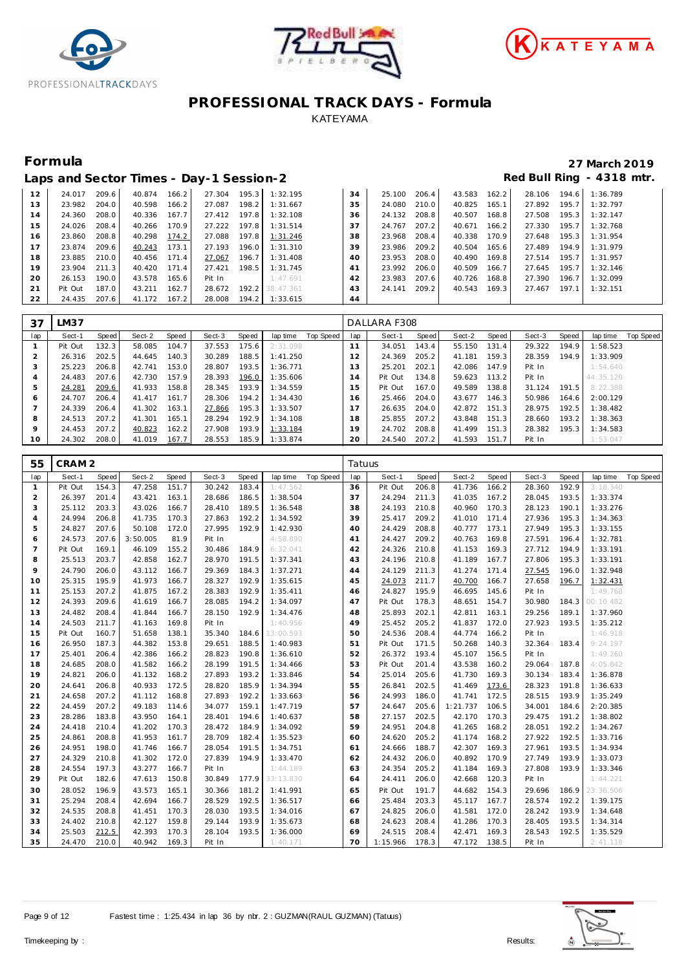





|    |         |       |        |       | Laps and Sector Times - Day-1 Session-2 |       |           |    |        |       |        |       |        |       | Red Bull Ring - 4318 mtr. |
|----|---------|-------|--------|-------|-----------------------------------------|-------|-----------|----|--------|-------|--------|-------|--------|-------|---------------------------|
| 12 | 24.017  | 209.6 | 40.874 | 166.2 | 27.304                                  | 195.3 | 1:32.195  | 34 | 25.100 | 206.4 | 43.583 | 162.2 | 28.106 | 194.6 | 1:36.789                  |
| 13 | 23.982  | 204.0 | 40.598 | 166.2 | 27.087                                  | 198.2 | 1:31.667  | 35 | 24.080 | 210.0 | 40.825 | 165.1 | 27.892 | 195.7 | 1:32.797                  |
| 14 | 24.360  | 208.0 | 40.336 | 167.7 | 27.412                                  | 197.8 | 1:32.108  | 36 | 24.132 | 208.8 | 40.507 | 168.8 | 27.508 | 195.3 | 1:32.147                  |
| 15 | 24.026  | 208.4 | 40.266 | 170.9 | 27.222                                  | 197.8 | 1:31.514  | 37 | 24.767 | 207.2 | 40.671 | 166.2 | 27.330 | 195.7 | 1:32.768                  |
| 16 | 23.860  | 208.8 | 40.298 | 174.2 | 27.088                                  | 197.8 | 1:31.246  | 38 | 23.968 | 208.4 | 40.338 | 170.9 | 27.648 | 195.3 | 1:31.954                  |
| 17 | 23.874  | 209.6 | 40.243 | 173.1 | 27.193                                  | 196.0 | 1:31.310  | 39 | 23.986 | 209.2 | 40.504 | 165.6 | 27.489 | 194.9 | 1:31.979                  |
| 18 | 23.885  | 210.0 | 40.456 | 171.4 | 27.067                                  | 196.7 | 1:31.408  | 40 | 23.953 | 208.0 | 40.490 | 169.8 | 27.514 | 195.7 | 1:31.957                  |
| 19 | 23.904  | 211.3 | 40.420 | 171.4 | 27.421                                  | 198.5 | 1:31.745  | 41 | 23.992 | 206.0 | 40.509 | 166.7 | 27.645 | 195.7 | 1:32.146                  |
| 20 | 26.153  | 190.0 | 43.578 | 165.6 | Pit In                                  |       | 1:47.691  | 42 | 23.983 | 207.6 | 40.726 | 168.8 | 27.390 | 196.7 | 1:32.099                  |
| 21 | Pit Out | 187.0 | 43.211 | 162.7 | 28.672                                  | 192.2 | 38:47.361 | 43 | 24.141 | 209.2 | 40.543 | 169.3 | 27.467 | 197.1 | 1:32.151                  |
| 22 | 24.435  | 207.6 | 41.172 | 167.2 | 28.008                                  | 194.2 | 1:33.615  | 44 |        |       |        |       |        |       |                           |

| 37              | LM37    |       |        |       |        |       |          |           |     | DALLARA F308 |       |        |       |        |       |            |           |
|-----------------|---------|-------|--------|-------|--------|-------|----------|-----------|-----|--------------|-------|--------|-------|--------|-------|------------|-----------|
| lap             | Sect-1  | Speed | Sect-2 | Speed | Sect-3 | Speed | lap time | Top Speed | lap | Sect-1       | Speed | Sect-2 | Speed | Sect-3 | Speed | lap time   | Top Speed |
|                 | Pit Out | 132.3 | 58.085 | 104.7 | 37.553 | 175.6 | 2:31.098 |           | 11  | 34.051       | 143.4 | 55.150 | 131.4 | 29.322 | 194.9 | 1:58.523   |           |
|                 | 26.316  | 202.5 | 44.645 | 140.3 | 30.289 | 188.5 | 1:41.250 |           | 12  | 24.369       | 205.2 | 41.181 | 159.3 | 28.359 | 194.9 | 1:33.909   |           |
|                 | 25.223  | 206.8 | 42.741 | 153.0 | 28.807 | 193.5 | 1:36.771 |           | 13  | 25.201       | 202.1 | 42.086 | 147.9 | Pit In |       | 1:54.640   |           |
|                 | 24.483  | 207.6 | 42.730 | 157.9 | 28.393 | 196.0 | 1:35.606 |           | 14  | Pit Out      | 134.8 | 59.623 | 113.2 | Pit In |       | 44: 35.120 |           |
|                 | 24.281  | 209.6 | 41.933 | 158.8 | 28.345 | 193.9 | 1:34.559 |           | 15  | Pit Out      | 167.0 | 49.589 | 138.8 | 31.124 | 191.5 | 8:22.388   |           |
| 6               | 24.707  | 206.4 | 41.417 | 161.7 | 28.306 | 194.2 | 1:34.430 |           | 16  | 25.466       | 204.0 | 43.677 | 146.3 | 50.986 | 164.6 | 2:00.129   |           |
|                 | 24.339  | 206.4 | 41.302 | 163.1 | 27.866 | 195.3 | 1:33.507 |           | 17  | 26.635       | 204.0 | 42.872 | 151.3 | 28.975 | 192.5 | 1:38.482   |           |
| 8               | 24.513  | 207.2 | 41.301 | 165.1 | 28.294 | 192.9 | 1:34.108 |           | 18  | 25.855       | 207.2 | 43.848 | 151.3 | 28.660 | 193.2 | 1:38.363   |           |
| $\circ$         | 24.453  | 207.2 | 40.823 | 162.2 | 27.908 | 193.9 | 1:33.184 |           | 19  | 24.702       | 208.8 | 41.499 | 151.3 | 28.382 | 195.3 | 1:34.583   |           |
| 10 <sup>°</sup> | 24.302  | 208.0 | 41.019 | 167.7 | 28.553 | 185.9 | 1:33.874 |           | 20  | 24.540       | 207.2 | 41.593 | 151.7 | Pit In |       | 1:53.047   |           |

| 55             | CRAM <sub>2</sub> |       |          |       |        |       |           |                  | Tatuus |          |       |          |       |        |       |           |           |
|----------------|-------------------|-------|----------|-------|--------|-------|-----------|------------------|--------|----------|-------|----------|-------|--------|-------|-----------|-----------|
| lap            | Sect-1            | Speed | Sect-2   | Speed | Sect-3 | Speed | lap time  | <b>Top Speed</b> | lap    | Sect-1   | Speed | Sect-2   | Speed | Sect-3 | Speed | lap time  | Top Speed |
| $\mathbf{1}$   | Pit Out           | 154.3 | 47.258   | 151.7 | 30.242 | 183.4 | 1:47.562  |                  | 36     | Pit Out  | 206.8 | 41.736   | 166.2 | 28.360 | 192.9 | 3:18.340  |           |
| $\overline{2}$ | 26.397            | 201.4 | 43.421   | 163.1 | 28.686 | 186.5 | 1:38.504  |                  | 37     | 24.294   | 211.3 | 41.035   | 167.2 | 28.045 | 193.5 | 1:33.374  |           |
| 3              | 25.112            | 203.3 | 43.026   | 166.7 | 28.410 | 189.5 | 1:36.548  |                  | 38     | 24.193   | 210.8 | 40.960   | 170.3 | 28.123 | 190.1 | 1:33.276  |           |
| $\overline{4}$ | 24.994            | 206.8 | 41.735   | 170.3 | 27.863 | 192.2 | 1:34.592  |                  | 39     | 25.417   | 209.2 | 41.010   | 171.4 | 27.936 | 195.3 | 1:34.363  |           |
| 5              | 24.827            | 207.6 | 50.108   | 172.0 | 27.995 | 192.9 | 1:42.930  |                  | 40     | 24.429   | 208.8 | 40.777   | 173.1 | 27.949 | 195.3 | 1:33.155  |           |
| 6              | 24.573            | 207.6 | 3:50.005 | 81.9  | Pit In |       | 4:58.890  |                  | 41     | 24.427   | 209.2 | 40.763   | 169.8 | 27.591 | 196.4 | 1:32.781  |           |
| $\overline{7}$ | Pit Out           | 169.1 | 46.109   | 155.2 | 30.486 | 184.9 | 6:32.041  |                  | 42     | 24.326   | 210.8 | 41.153   | 169.3 | 27.712 | 194.9 | 1:33.191  |           |
| 8              | 25.513            | 203.7 | 42.858   | 162.7 | 28.970 | 191.5 | 1:37.341  |                  | 43     | 24.196   | 210.8 | 41.189   | 167.7 | 27.806 | 195.3 | 1:33.191  |           |
| 9              | 24.790            | 206.0 | 43.112   | 166.7 | 29.369 | 184.3 | 1:37.271  |                  | 44     | 24.129   | 211.3 | 41.274   | 171.4 | 27.545 | 196.0 | 1:32.948  |           |
| 10             | 25.315            | 195.9 | 41.973   | 166.7 | 28.327 | 192.9 | 1:35.615  |                  | 45     | 24.073   | 211.7 | 40.700   | 166.7 | 27.658 | 196.7 | 1:32.431  |           |
| 11             | 25.153            | 207.2 | 41.875   | 167.2 | 28.383 | 192.9 | 1:35.411  |                  | 46     | 24.827   | 195.9 | 46.695   | 145.6 | Pit In |       | 1:49.768  |           |
| 12             | 24.393            | 209.6 | 41.619   | 166.7 | 28.085 | 194.2 | 1:34.097  |                  | 47     | Pit Out  | 178.3 | 48.651   | 154.7 | 30.980 | 184.3 | 00:10.482 |           |
| 13             | 24.482            | 208.4 | 41.844   | 166.7 | 28.150 | 192.9 | 1:34.476  |                  | 48     | 25.893   | 202.1 | 42.811   | 163.1 | 29.256 | 189.1 | 1:37.960  |           |
| 14             | 24.503            | 211.7 | 41.163   | 169.8 | Pit In |       | 1:40.956  |                  | 49     | 25.452   | 205.2 | 41.837   | 172.0 | 27.923 | 193.5 | 1:35.212  |           |
| 15             | Pit Out           | 160.7 | 51.658   | 138.1 | 35.340 | 184.6 | 13:00.593 |                  | 50     | 24.536   | 208.4 | 44.774   | 166.2 | Pit In |       | 1:46.918  |           |
| 16             | 26.950            | 187.3 | 44.382   | 153.8 | 29.651 | 188.5 | 1:40.983  |                  | 51     | Pit Out  | 171.5 | 50.268   | 140.3 | 32.364 | 183.4 | 9:24.197  |           |
| 17             | 25.401            | 206.4 | 42.386   | 166.2 | 28.823 | 190.8 | 1:36.610  |                  | 52     | 26.372   | 193.4 | 45.107   | 156.5 | Pit In |       | 1:49.260  |           |
| 18             | 24.685            | 208.0 | 41.582   | 166.2 | 28.199 | 191.5 | 1:34.466  |                  | 53     | Pit Out  | 201.4 | 43.538   | 160.2 | 29.064 | 187.8 | 4:05.842  |           |
| 19             | 24.821            | 206.0 | 41.132   | 168.2 | 27.893 | 193.2 | 1:33.846  |                  | 54     | 25.014   | 205.6 | 41.730   | 169.3 | 30.134 | 183.4 | 1:36.878  |           |
| 20             | 24.641            | 206.8 | 40.933   | 172.5 | 28.820 | 185.9 | 1:34.394  |                  | 55     | 26.841   | 202.5 | 41.469   | 173.6 | 28.323 | 191.8 | 1:36.633  |           |
| 21             | 24.658            | 207.2 | 41.112   | 168.8 | 27.893 | 192.2 | 1:33.663  |                  | 56     | 24.993   | 186.0 | 41.741   | 172.5 | 28.515 | 193.9 | 1:35.249  |           |
| 22             | 24.459            | 207.2 | 49.183   | 114.6 | 34.077 | 159.1 | 1:47.719  |                  | 57     | 24.647   | 205.6 | 1:21.737 | 106.5 | 34.001 | 184.6 | 2:20.385  |           |
| 23             | 28.286            | 183.8 | 43.950   | 164.1 | 28.401 | 194.6 | 1:40.637  |                  | 58     | 27.157   | 202.5 | 42.170   | 170.3 | 29.475 | 191.2 | 1:38.802  |           |
| 24             | 24.418            | 210.4 | 41.202   | 170.3 | 28.472 | 184.9 | 1:34.092  |                  | 59     | 24.951   | 204.8 | 41.265   | 168.2 | 28.051 | 192.2 | 1:34.267  |           |
| 25             | 24.861            | 208.8 | 41.953   | 161.7 | 28.709 | 182.4 | 1:35.523  |                  | 60     | 24.620   | 205.2 | 41.174   | 168.2 | 27.922 | 192.5 | 1:33.716  |           |
| 26             | 24.951            | 198.0 | 41.746   | 166.7 | 28.054 | 191.5 | 1:34.751  |                  | 61     | 24.666   | 188.7 | 42.307   | 169.3 | 27.961 | 193.5 | 1:34.934  |           |
| 27             | 24.329            | 210.8 | 41.302   | 172.0 | 27.839 | 194.9 | 1:33.470  |                  | 62     | 24.432   | 206.0 | 40.892   | 170.9 | 27.749 | 193.9 | 1:33.073  |           |
| 28             | 24.554            | 197.3 | 43.277   | 166.7 | Pit In |       | 1:44.189  |                  | 63     | 24.354   | 205.2 | 41.184   | 169.3 | 27.808 | 193.9 | 1:33.346  |           |
| 29             | Pit Out           | 182.6 | 47.613   | 150.8 | 30.849 | 177.9 | 33:13.830 |                  | 64     | 24.411   | 206.0 | 42.668   | 120.3 | Pit In |       | 1:44.221  |           |
| 30             | 28.052            | 196.9 | 43.573   | 165.1 | 30.366 | 181.2 | 1:41.991  |                  | 65     | Pit Out  | 191.7 | 44.682   | 154.3 | 29.696 | 186.9 | 23:36.506 |           |
| 31             | 25.294            | 208.4 | 42.694   | 166.7 | 28.529 | 192.5 | 1:36.517  |                  | 66     | 25.484   | 203.3 | 45.117   | 167.7 | 28.574 | 192.2 | 1:39.175  |           |
| 32             | 24.535            | 208.8 | 41.451   | 170.3 | 28.030 | 193.5 | 1:34.016  |                  | 67     | 24.825   | 206.0 | 41.581   | 172.0 | 28.242 | 193.9 | 1:34.648  |           |
| 33             | 24.402            | 210.8 | 42.127   | 159.8 | 29.144 | 193.9 | 1:35.673  |                  | 68     | 24.623   | 208.4 | 41.286   | 170.3 | 28.405 | 193.5 | 1:34.314  |           |
| 34             | 25.503            | 212.5 | 42.393   | 170.3 | 28.104 | 193.5 | 1:36.000  |                  | 69     | 24.515   | 208.4 | 42.471   | 169.3 | 28.543 | 192.5 | 1:35.529  |           |
| 35             | 24.470            | 210.0 | 40.942   | 169.3 | Pit In |       | 1:40.171  |                  | 70     | 1:15.966 | 178.3 | 47.172   | 138.5 | Pit In |       | 2:41.118  |           |



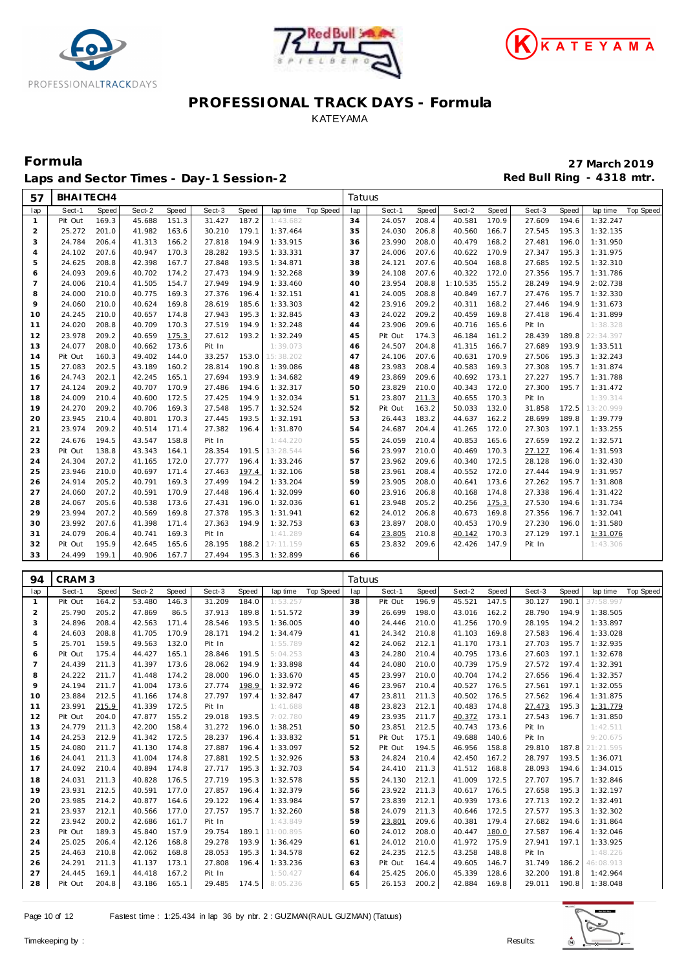





Laps and Sector Times - Day-1 Session-2 **Accord Payment Accord Payment Red Bull Ring - 4318 mtr.** 

| 57                  | BHAITECH4         |                |                  |                |                  |                |                      |                  | Tatuus   |                   |                |                  |                |                  |                |                       |                  |
|---------------------|-------------------|----------------|------------------|----------------|------------------|----------------|----------------------|------------------|----------|-------------------|----------------|------------------|----------------|------------------|----------------|-----------------------|------------------|
| lap                 | Sect-1            | Speed          | Sect-2           | Speed          | Sect-3           | Speed          | lap time             | <b>Top Speed</b> | lap      | Sect-1            | Speed          | Sect-2           | Speed          | Sect-3           | Speed          | lap time              | <b>Top Speed</b> |
| $\mathbf{1}$        | Pit Out           | 169.3          | 45.688           | 151.3          | 31.427           | 187.2          | 1:43.682             |                  | 34       | 24.057            | 208.4          | 40.581           | 170.9          | 27.609           | 194.6          | 1:32.247              |                  |
| $\overline{2}$      | 25.272            | 201.0          | 41.982           | 163.6          | 30.210           | 179.1          | 1:37.464             |                  | 35       | 24.030            | 206.8          | 40.560           | 166.7          | 27.545           | 195.3          | 1:32.135              |                  |
| 3                   | 24.784            | 206.4          | 41.313           | 166.2          | 27.818           | 194.9          | 1:33.915             |                  | 36       | 23.990            | 208.0          | 40.479           | 168.2          | 27.481           | 196.0          | 1:31.950              |                  |
| $\overline{4}$      | 24.102            | 207.6          | 40.947           | 170.3          | 28.282           | 193.5          | 1:33.331             |                  | 37       | 24.006            | 207.6          | 40.622           | 170.9          | 27.347           | 195.3          | 1:31.975              |                  |
| 5                   | 24.625            | 208.8          | 42.398           | 167.7          | 27.848           | 193.5          | 1:34.871             |                  | 38       | 24.121            | 207.6          | 40.504           | 168.8          | 27.685           | 192.5          | 1:32.310              |                  |
| 6                   | 24.093            | 209.6          | 40.702           | 174.2          | 27.473           | 194.9          | 1:32.268             |                  | 39       | 24.108            | 207.6          | 40.322           | 172.0          | 27.356           | 195.7          | 1:31.786              |                  |
| $\overline{7}$      | 24.006            | 210.4          | 41.505           | 154.7          | 27.949           | 194.9          | 1:33.460             |                  | 40       | 23.954            | 208.8          | 1:10.535         | 155.2          | 28.249           | 194.9          | 2:02.738              |                  |
| 8                   | 24.000            | 210.0          | 40.775           | 169.3          | 27.376           | 196.4          | 1:32.151             |                  | 41       | 24.005            | 208.8          | 40.849           | 167.7          | 27.476           | 195.7          | 1:32.330              |                  |
| 9                   | 24.060            | 210.0          | 40.624           | 169.8          | 28.619           | 185.6          | 1:33.303             |                  | 42       | 23.916            | 209.2          | 40.311           | 168.2          | 27.446           | 194.9          | 1:31.673              |                  |
| 10                  | 24.245            | 210.0          | 40.657           | 174.8          | 27.943           | 195.3          | 1:32.845             |                  | 43       | 24.022            | 209.2          | 40.459           | 169.8          | 27.418           | 196.4          | 1:31.899              |                  |
| 11                  | 24.020            | 208.8          | 40.709           | 170.3          | 27.519           | 194.9          | 1:32.248             |                  | 44       | 23.906            | 209.6          | 40.716           | 165.6          | Pit In           |                | 1:38.328              |                  |
| 12                  | 23.978            | 209.2          | 40.659           | 175.3          | 27.612           | 193.2          | 1:32.249             |                  | 45       | Pit Out           | 174.3          | 46.184           | 161.2          | 28.439           | 189.8          | 22:34.397             |                  |
| 13                  | 24.077            | 208.0          | 40.662           | 173.6          | Pit In           |                | 1:39.073             |                  | 46       | 24.507            | 204.8          | 41.315           | 166.7          | 27.689           | 193.9          | 1:33.511              |                  |
| 14                  | Pit Out           | 160.3          | 49.402           | 144.0          | 33.257           | 153.0          | 15:38.202            |                  | 47       | 24.106            | 207.6          | 40.631           | 170.9          | 27.506           | 195.3          | 1:32.243              |                  |
| 15                  | 27.083            | 202.5          | 43.189           | 160.2          | 28.814           | 190.8          | 1:39.086             |                  | 48       | 23.983            | 208.4          | 40.583           | 169.3          | 27.308           | 195.7          | 1:31.874              |                  |
| 16                  | 24.743            | 202.1          | 42.245           | 165.1          | 27.694           | 193.9          | 1:34.682             |                  | 49       | 23.869            | 209.6          | 40.692           | 173.1          | 27.227           | 195.7          | 1:31.788              |                  |
| 17                  | 24.124<br>24.009  | 209.2          | 40.707           | 170.9          | 27.486           | 194.6<br>194.9 | 1:32.317             |                  | 50       | 23.829<br>23.807  | 210.0          | 40.343<br>40.655 | 172.0<br>170.3 | 27.300<br>Pit In | 195.7          | 1:31.472<br>1:39.314  |                  |
| 18<br>19            | 24.270            | 210.4<br>209.2 | 40.600<br>40.706 | 172.5<br>169.3 | 27.425<br>27.548 | 195.7          | 1:32.034<br>1:32.524 |                  | 51<br>52 | Pit Out           | 211.3<br>163.2 | 50.033           | 132.0          | 31.858           | 172.5          | 13:20.999             |                  |
| 20                  | 23.945            | 210.4          | 40.801           | 170.3          | 27.445           | 193.5          | 1:32.191             |                  | 53       | 26.443            | 183.2          | 44.637           | 162.2          | 28.699           | 189.8          | 1:39.779              |                  |
| 21                  | 23.974            | 209.2          | 40.514           | 171.4          | 27.382           | 196.4          | 1:31.870             |                  | 54       | 24.687            | 204.4          | 41.265           | 172.0          | 27.303           | 197.1          | 1:33.255              |                  |
| 22                  | 24.676            | 194.5          | 43.547           | 158.8          | Pit In           |                | 1:44.220             |                  | 55       | 24.059            | 210.4          | 40.853           | 165.6          | 27.659           | 192.2          | 1:32.571              |                  |
| 23                  | Pit Out           | 138.8          | 43.343           | 164.1          | 28.354           | 191.5          | 13:28.544            |                  | 56       | 23.997            | 210.0          | 40.469           | 170.3          | 27.127           | 196.4          | 1:31.593              |                  |
| 24                  | 24.304            | 207.2          | 41.165           | 172.0          | 27.777           | 196.4          | 1:33.246             |                  | 57       | 23.962            | 209.6          | 40.340           | 172.5          | 28.128           | 196.0          | 1:32.430              |                  |
| 25                  | 23.946            | 210.0          | 40.697           | 171.4          | 27.463           | 197.4          | 1:32.106             |                  | 58       | 23.961            | 208.4          | 40.552           | 172.0          | 27.444           | 194.9          | 1:31.957              |                  |
| 26                  | 24.914            | 205.2          | 40.791           | 169.3          | 27.499           | 194.2          | 1:33.204             |                  | 59       | 23.905            | 208.0          | 40.641           | 173.6          | 27.262           | 195.7          | 1:31.808              |                  |
| 27                  | 24.060            | 207.2          | 40.591           | 170.9          | 27.448           | 196.4          | 1:32.099             |                  | 60       | 23.916            | 206.8          | 40.168           | 174.8          | 27.338           | 196.4          | 1:31.422              |                  |
| 28                  | 24.067            | 205.6          | 40.538           | 173.6          | 27.431           | 196.0          | 1:32.036             |                  | 61       | 23.948            | 205.2          | 40.256           | 175.3          | 27.530           | 194.6          | 1:31.734              |                  |
| 29                  | 23.994            | 207.2          | 40.569           | 169.8          | 27.378           | 195.3          | 1:31.941             |                  | 62       | 24.012            | 206.8          | 40.673           | 169.8          | 27.356           | 196.7          | 1:32.041              |                  |
| 30                  | 23.992            | 207.6          | 41.398           | 171.4          | 27.363           | 194.9          | 1:32.753             |                  | 63       | 23.897            | 208.0          | 40.453           | 170.9          | 27.230           | 196.0          | 1:31.580              |                  |
| 31                  | 24.079            | 206.4          | 40.741           | 169.3          | Pit In           |                | 1:41.289             |                  | 64       | 23.805            | 210.8          | 40.142           | 170.3          | 27.129           | 197.1          | 1:31.076              |                  |
|                     | Pit Out           | 195.9          | 42.645           | 165.6          | 28.195           | 188.2          | 17:11.159            |                  | 65       | 23.832            | 209.6          | 42.426           | 147.9          | Pit In           |                | 1:43.306              |                  |
| 32                  |                   |                |                  |                |                  |                |                      |                  |          |                   |                |                  |                |                  |                |                       |                  |
| 33                  | 24.499            | 199.1          | 40.906           | 167.7          | 27.494           | 195.3          | 1:32.899             |                  | 66       |                   |                |                  |                |                  |                |                       |                  |
|                     |                   |                |                  |                |                  |                |                      |                  |          |                   |                |                  |                |                  |                |                       |                  |
| 94                  | CRAM <sub>3</sub> |                |                  |                |                  |                |                      |                  | Tatuus   |                   |                |                  |                |                  |                |                       |                  |
| lap                 | Sect-1            | Speed          | Sect-2           | Speed          | Sect-3           | Speed          | lap time             | <b>Top Speed</b> | lap      | Sect-1            | Speed          | Sect-2           | Speed          | Sect-3           | Speed          | lap time              | <b>Top Speed</b> |
| $\mathbf{1}$        | Pit Out           | 164.2          | 53.480           | 146.3          | 31.209           | 184.0          | 1:53.257             |                  | 38       | Pit Out           | 196.9          | 45.521           | 147.5          | 30.127           | 190.1          | 37:58.997             |                  |
| $\overline{2}$      | 25.790            | 205.2          | 47.869           | 86.5           | 37.913           | 189.8          | 1:51.572             |                  | 39       | 26.699            | 198.0          | 43.016           | 162.2          | 28.790           | 194.9          | 1:38.505              |                  |
| 3                   | 24.896            | 208.4          | 42.563           | 171.4          | 28.546           | 193.5          | 1:36.005             |                  | 40       | 24.446            | 210.0          | 41.256           | 170.9          | 28.195           | 194.2          | 1:33.897              |                  |
| $\overline{4}$      | 24.603            | 208.8          | 41.705           | 170.9          | 28.171           | 194.2          | 1:34.479             |                  | 41       | 24.342            | 210.8          | 41.103           | 169.8          | 27.583           | 196.4          | 1:33.028              |                  |
| 5                   | 25.701            | 159.5          | 49.563           | 132.0          | Pit In           |                | 1:55.789             |                  | 42       | 24.062            | 212.1          | 41.170<br>40.795 | 173.1          | 27.703           | 195.7          | 1:32.935              |                  |
| 6<br>$\overline{7}$ | Pit Out           | 175.4          | 44.427           | 165.1          | 28.846           | 191.5<br>194.9 | 5:04.253             |                  | 43<br>44 | 24.280            | 210.4          |                  | 173.6          | 27.603           | 197.1<br>197.4 | 1:32.678              |                  |
|                     | 24.439            | 211.3          | 41.397           | 173.6          | 28.062           | 196.0          | 1:33.898             |                  |          | 24.080<br>23.997  | 210.0          | 40.739           | 175.9          | 27.572           | 196.4          | 1:32.391              |                  |
| 8<br>9              | 24.222<br>24.194  | 211.7<br>211.7 | 41.448<br>41.004 | 174.2<br>173.6 | 28.000<br>27.774 | 198.9          | 1:33.670<br>1:32.972 |                  | 45<br>46 | 23.967            | 210.0<br>210.4 | 40.704<br>40.527 | 174.2<br>176.5 | 27.656<br>27.561 | 197.1          | 1:32.357<br>1:32.055  |                  |
| 10                  | 23.884            | 212.5          | 41.166           | 174.8          | 27.797           | 197.4          | 1:32.847             |                  | 47       | 23.811            | 211.3          | 40.502 176.5     |                | 27.562           | 196.4          | 1:31.875              |                  |
| 11                  | 23.991            | 215.9          | 41.339           | 172.5          | Pit In           |                | 1:41.688             |                  | 48       | 23.823            | 212.1          | 40.483 174.8     |                | 27.473           | 195.3          | 1:31.779              |                  |
| 12                  | Pit Out           | 204.0          | 47.877           | 155.2          | 29.018           | 193.5          | 7:02.780             |                  | 49       | 23.935            | 211.7          | 40.372           | 173.1          | 27.543           | 196.7          | 1:31.850              |                  |
| 13                  | 24.779            | 211.3          | 42.200           | 158.4          | 31.272           | 196.0          | 1:38.251             |                  | 50       | 23.851            | 212.5          | 40.743           | 173.6          | Pit In           |                | 1:42.511              |                  |
| 14                  | 24.253            | 212.9          | 41.342           | 172.5          | 28.237           | 196.4          | 1:33.832             |                  | 51       | Pit Out           | 175.1          | 49.688           | 140.6          | Pit In           |                | 9:20.675              |                  |
| 15                  | 24.080            | 211.7          | 41.130           | 174.8          | 27.887           | 196.4          | 1:33.097             |                  | 52       | Pit Out           | 194.5          | 46.956           | 158.8          | 29.810           | 187.8          | 21:21.595             |                  |
| 16                  | 24.041            | 211.3          | 41.004           | 174.8          | 27.881           | 192.5          | 1:32.926             |                  | 53       | 24.824            | 210.4          | 42.450           | 167.2          | 28.797           | 193.5          | 1:36.071              |                  |
| 17                  | 24.092            | 210.4          | 40.894           | 174.8          | 27.717           | 195.3          | 1:32.703             |                  | 54       | 24.410            | 211.3          | 41.512 168.8     |                | 28.093           | 194.6          | 1:34.015              |                  |
| 18                  | 24.031            | 211.3          | 40.828           | 176.5          | 27.719           | 195.3          | 1:32.578             |                  | 55       | 24.130            | 212.1          | 41.009           | 172.5          | 27.707           | 195.7          | 1:32.846              |                  |
| 19                  | 23.931            | 212.5          | 40.591           | 177.0          | 27.857           | 196.4          | 1:32.379             |                  | 56       | 23.922            | 211.3          | 40.617           | 176.5          | 27.658           | 195.3          | 1:32.197              |                  |
| 20                  | 23.985            | 214.2          | 40.877           | 164.6          | 29.122           | 196.4          | 1:33.984             |                  | 57       | 23.839            | 212.1          | 40.939           | 173.6          | 27.713           | 192.2          | 1:32.491              |                  |
| 21                  | 23.937            | 212.1          | 40.566           | 177.0          | 27.757           | 195.7          | 1:32.260             |                  | 58       | 24.079            | 211.3          | 40.646           | 172.5          | 27.577           | 195.3          | 1:32.302              |                  |
| 22                  | 23.942            | 200.2          | 42.686           | 161.7          | Pit In           |                | 1:43.849             |                  | 59       | 23.801            | 209.6          | 40.381           | 179.4          | 27.682           | 194.6          | 1:31.864              |                  |
| 23                  | Pit Out           | 189.3          | 45.840           | 157.9          | 29.754           | 189.1          | 11:00.895            |                  | 60       | 24.012            | 208.0          | 40.447           | 180.0          | 27.587           | 196.4          | 1:32.046              |                  |
| 24<br>25            | 25.025            | 206.4          | 42.126           | 168.8          | 29.278           | 193.9          | 1:36.429             |                  | 61       | 24.012            | 210.0          | 41.972           | 175.9          | 27.941           | 197.1          | 1:33.925              |                  |
| 26                  | 24.463            | 210.8          | 42.062           | 168.8          | 28.053<br>27.808 | 195.3<br>196.4 | 1:34.578             |                  | 62<br>63 | 24.235            | 212.5<br>164.4 | 43.258           | 148.8          | Pit In           | 186.2          | 1:48.226              |                  |
| 27                  | 24.291<br>24.445  | 211.3<br>169.1 | 41.137<br>44.418 | 173.1<br>167.2 | Pit In           |                | 1:33.236<br>1:50.427 |                  | 64       | Pit Out<br>25.425 | 206.0          | 49.605<br>45.339 | 146.7<br>128.6 | 31.749<br>32.200 | 191.8          | 46:08.913<br>1:42.964 |                  |

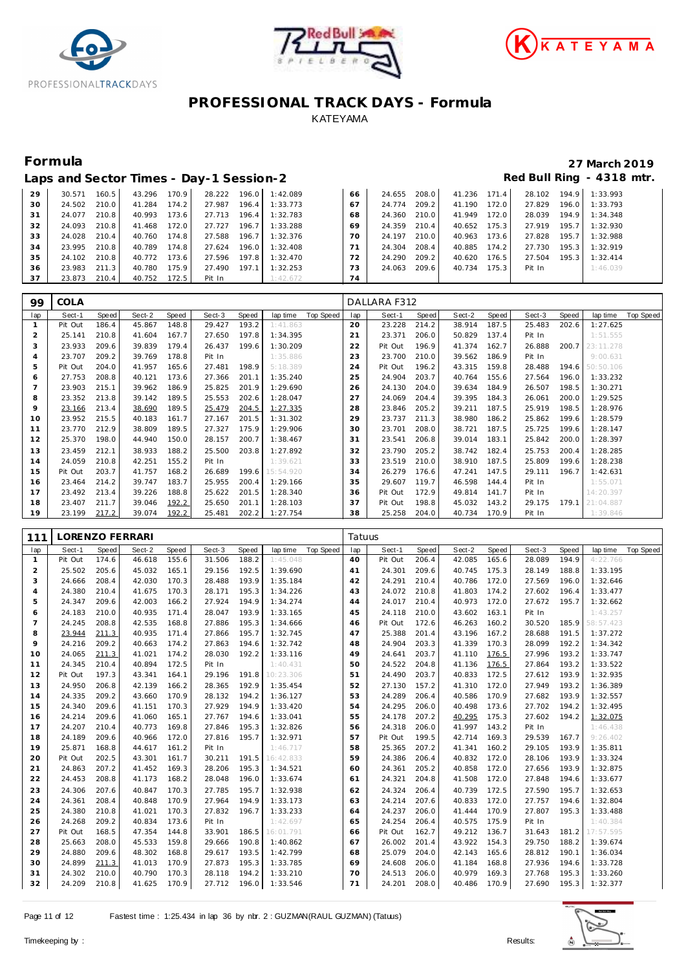





| Red Bull Ring - 4318 mtr.<br>Laps and Sector Times - Day-1 Session-2 |        |       |        |       |        |       |          |    |        |       |        |       |        |       |          |
|----------------------------------------------------------------------|--------|-------|--------|-------|--------|-------|----------|----|--------|-------|--------|-------|--------|-------|----------|
| 29                                                                   | 30.571 | 160.5 | 43.296 | 170.9 | 28.222 | 196.0 | 1:42.089 | 66 | 24.655 | 208.0 | 41.236 | 171.4 | 28.102 | 194.9 | 1:33.993 |
| 30                                                                   | 24.502 | 210.0 | 41.284 | 174.2 | 27.987 | 196.4 | 1:33.773 | 67 | 24.774 | 209.2 | 41.190 | 172.0 | 27.829 | 196.0 | 1:33.793 |
| 31                                                                   | 24.077 | 210.8 | 40.993 | 173.6 | 27.713 | 196.4 | 1:32.783 | 68 | 24.360 | 210.0 | 41.949 | 172.0 | 28.039 | 194.9 | 1:34.348 |
| 32                                                                   | 24.093 | 210.8 | 41.468 | 172.0 | 27.727 | 196.7 | 1:33.288 | 69 | 24.359 | 210.4 | 40.652 | 175.3 | 27.919 | 195.7 | 1:32.930 |
| 33                                                                   | 24.028 | 210.4 | 40.760 | 174.8 | 27.588 | 196.7 | 1:32.376 | 70 | 24.197 | 210.0 | 40.963 | 173.6 | 27.828 | 195.7 | 1:32.988 |
| 34                                                                   | 23.995 | 210.8 | 40.789 | 174.8 | 27.624 | 196.0 | 1:32.408 |    | 24.304 | 208.4 | 40.885 | 174.2 | 27.730 | 195.3 | 1:32.919 |
| 35                                                                   | 24.102 | 210.8 | 40.772 | 173.6 | 27.596 | 197.8 | 1:32.470 | 72 | 24.290 | 209.2 | 40.620 | 176.5 | 27.504 | 195.3 | 1:32.414 |
| 36                                                                   | 23.983 | 211.3 | 40.780 | 175.9 | 27.490 | 197.1 | 1:32.253 | 73 | 24.063 | 209.6 | 40.734 | 175.3 | Pit In |       | 1:46.039 |
| 37                                                                   | 23.873 | 210.4 | 40.752 | 172.5 | Pit In |       | 1:42.672 | 74 |        |       |        |       |        |       |          |

| 99             | <b>COLA</b> |       |        |       |        |       |                       |             | DALLARA F312 |       |        |       |        |       |           |           |
|----------------|-------------|-------|--------|-------|--------|-------|-----------------------|-------------|--------------|-------|--------|-------|--------|-------|-----------|-----------|
|                |             |       |        |       |        |       |                       |             |              |       |        |       |        |       |           |           |
| lap            | Sect-1      | Speed | Sect-2 | Speed | Sect-3 | Speed | Top Speed<br>lap time | lap         | Sect-1       | Speed | Sect-2 | Speed | Sect-3 | Speed | lap time  | Top Speed |
|                | Pit Out     | 186.4 | 45.867 | 148.8 | 29.427 | 193.2 | 1:41.863              | 20          | 23.228       | 214.2 | 38.914 | 187.5 | 25.483 | 202.6 | 1:27.625  |           |
| $\overline{2}$ | 25.141      | 210.8 | 41.604 | 167.7 | 27.650 | 197.8 | 1:34.395              | $2^{\cdot}$ | 23.371       | 206.0 | 50.829 | 137.4 | Pit In |       | 1:51.555  |           |
| 3              | 23.933      | 209.6 | 39.839 | 179.4 | 26.437 | 199.6 | 1:30.209              | 22          | Pit Out      | 196.9 | 41.374 | 162.7 | 26.888 | 200.7 | 23:11.278 |           |
| 4              | 23.707      | 209.2 | 39.769 | 178.8 | Pit In |       | 1:35.886              | 23          | 23.700       | 210.0 | 39.562 | 186.9 | Pit In |       | 9:00.631  |           |
| 5              | Pit Out     | 204.0 | 41.957 | 165.6 | 27.481 | 198.9 | 5:18.389              | 24          | Pit Out      | 196.2 | 43.315 | 159.8 | 28.488 | 194.6 | 50:50.106 |           |
| 6              | 27.753      | 208.8 | 40.121 | 173.6 | 27.366 | 201.1 | 1:35.240              | 25          | 24.904       | 203.7 | 40.764 | 155.6 | 27.564 | 196.0 | 1:33.232  |           |
|                | 23.903      | 215.1 | 39.962 | 186.9 | 25.825 | 201.9 | 1:29.690              | 26          | 24.130       | 204.0 | 39.634 | 184.9 | 26.507 | 198.5 | 1:30.271  |           |
| 8              | 23.352      | 213.8 | 39.142 | 189.5 | 25.553 | 202.6 | 1:28.047              | 27          | 24.069       | 204.4 | 39.395 | 184.3 | 26.061 | 200.0 | 1:29.525  |           |
| 9              | 23.166      | 213.4 | 38.690 | 189.5 | 25.479 | 204.5 | 1:27.335              | 28          | 23.846       | 205.2 | 39.211 | 187.5 | 25.919 | 198.5 | 1:28.976  |           |
| 10             | 23.952      | 215.5 | 40.183 | 161.7 | 27.167 | 201.5 | 1:31.302              | 29          | 23.737       | 211.3 | 38.980 | 186.2 | 25.862 | 199.6 | 1:28.579  |           |
| 11             | 23.770      | 212.9 | 38.809 | 189.5 | 27.327 | 175.9 | 1:29.906              | 30          | 23.701       | 208.0 | 38.721 | 187.5 | 25.725 | 199.6 | 1:28.147  |           |
| 12             | 25.370      | 198.0 | 44.940 | 150.0 | 28.157 | 200.7 | 1:38.467              | 31          | 23.541       | 206.8 | 39.014 | 183.1 | 25.842 | 200.0 | 1:28.397  |           |
| 13             | 23.459      | 212.1 | 38.933 | 188.2 | 25.500 | 203.8 | 1:27.892              | 32          | 23.790       | 205.2 | 38.742 | 182.4 | 25.753 | 200.4 | 1:28.285  |           |
| 14             | 24.059      | 210.8 | 42.251 | 155.2 | Pit In |       | 1:39.621              | 33          | 23.519       | 210.0 | 38.910 | 187.5 | 25.809 | 199.6 | 1:28.238  |           |
| 15             | Pit Out     | 203.7 | 41.757 | 168.2 | 26.689 | 199.6 | 15:54.920             | 34          | 26.279       | 176.6 | 47.241 | 147.5 | 29.111 | 196.7 | 1:42.631  |           |
| 16             | 23.464      | 214.2 | 39.747 | 183.7 | 25.955 | 200.4 | 1:29.166              | 35          | 29.607       | 119.7 | 46.598 | 144.4 | Pit In |       | 1:55.071  |           |
| 17             | 23.492      | 213.4 | 39.226 | 188.8 | 25.622 | 201.5 | 1:28.340              | 36          | Pit Out      | 172.9 | 49.814 | 141.7 | Pit In |       | 14:20.397 |           |
| 18             | 23.407      | 211.7 | 39.046 | 192.2 | 25.650 | 201.1 | 1:28.103              | 37          | Pit Out      | 198.8 | 45.032 | 143.2 | 29.175 | 179.1 | 21:04.887 |           |
| 19             | 23.199      | 217.2 | 39.074 | 192.2 | 25.481 | 202.2 | 1:27.754              | 38          | 25.258       | 204.0 | 40.734 | 170.9 | Pit In |       | 1:39.846  |           |

| 111            | LORENZO FERRARI |       |        |       |        |       |           |                  |     | Tatuus  |       |              |       |        |       |           |           |  |
|----------------|-----------------|-------|--------|-------|--------|-------|-----------|------------------|-----|---------|-------|--------------|-------|--------|-------|-----------|-----------|--|
| lap            | Sect-1          | Speed | Sect-2 | Speed | Sect-3 | Speed | lap time  | <b>Top Speed</b> | lap | Sect-1  | Speed | Sect-2       | Speed | Sect-3 | Speed | lap time  | Top Speed |  |
| $\mathbf{1}$   | Pit Out         | 174.6 | 46.618 | 155.6 | 31.506 | 188.2 | 1:45.048  |                  | 40  | Pit Out | 206.4 | 42.085       | 165.6 | 28.089 | 194.9 | 4:22.766  |           |  |
| $\overline{2}$ | 25.502          | 205.6 | 45.032 | 165.1 | 29.156 | 192.5 | 1:39.690  |                  | 41  | 24.301  | 209.6 | 40.745       | 175.3 | 28.149 | 188.8 | 1:33.195  |           |  |
| 3              | 24.666          | 208.4 | 42.030 | 170.3 | 28.488 | 193.9 | 1:35.184  |                  | 42  | 24.291  | 210.4 | 40.786       | 172.0 | 27.569 | 196.0 | 1:32.646  |           |  |
| $\overline{4}$ | 24.380          | 210.4 | 41.675 | 170.3 | 28.171 | 195.3 | 1:34.226  |                  | 43  | 24.072  | 210.8 | 41.803       | 174.2 | 27.602 | 196.4 | 1:33.477  |           |  |
| 5              | 24.347          | 209.6 | 42.003 | 166.2 | 27.924 | 194.9 | 1:34.274  |                  | 44  | 24.017  | 210.4 | 40.973       | 172.0 | 27.672 | 195.7 | 1:32.662  |           |  |
| 6              | 24.183          | 210.0 | 40.935 | 171.4 | 28.047 | 193.9 | 1:33.165  |                  | 45  | 24.118  | 210.0 | 43.602       | 163.1 | Pit In |       | 1:43.257  |           |  |
| $\overline{7}$ | 24.245          | 208.8 | 42.535 | 168.8 | 27.886 | 195.3 | 1:34.666  |                  | 46  | Pit Out | 172.6 | 46.263       | 160.2 | 30.520 | 185.9 | 58:57.423 |           |  |
| 8              | 23.944          | 211.3 | 40.935 | 171.4 | 27.866 | 195.7 | 1:32.745  |                  | 47  | 25.388  | 201.4 | 43.196       | 167.2 | 28.688 | 191.5 | 1:37.272  |           |  |
| 9              | 24.216          | 209.2 | 40.663 | 174.2 | 27.863 | 194.6 | 1:32.742  |                  | 48  | 24.904  | 203.3 | 41.339       | 170.3 | 28.099 | 192.2 | 1:34.342  |           |  |
| 10             | 24.065          | 211.3 | 41.021 | 174.2 | 28.030 | 192.2 | 1:33.116  |                  | 49  | 24.641  | 203.7 | 41.110       | 176.5 | 27.996 | 193.2 | 1:33.747  |           |  |
| 11             | 24.345          | 210.4 | 40.894 | 172.5 | Pit In |       | 1:40.431  |                  | 50  | 24.522  | 204.8 | 41.136       | 176.5 | 27.864 | 193.2 | 1:33.522  |           |  |
| 12             | Pit Out         | 197.3 | 43.341 | 164.1 | 29.196 | 191.8 | 10:23.306 |                  | 51  | 24.490  | 203.7 | 40.833       | 172.5 | 27.612 | 193.9 | 1:32.935  |           |  |
| 13             | 24.950          | 206.8 | 42.139 | 166.2 | 28.365 | 192.9 | 1:35.454  |                  | 52  | 27.130  | 157.2 | 41.310       | 172.0 | 27.949 | 193.2 | 1:36.389  |           |  |
| 14             | 24.335          | 209.2 | 43.660 | 170.9 | 28.132 | 194.2 | 1:36.127  |                  | 53  | 24.289  | 206.4 | 40.586       | 170.9 | 27.682 | 193.9 | 1:32.557  |           |  |
| 15             | 24.340          | 209.6 | 41.151 | 170.3 | 27.929 | 194.9 | 1:33.420  |                  | 54  | 24.295  | 206.0 | 40.498       | 173.6 | 27.702 | 194.2 | 1:32.495  |           |  |
| 16             | 24.214          | 209.6 | 41.060 | 165.1 | 27.767 | 194.6 | 1:33.041  |                  | 55  | 24.178  | 207.2 | 40.295       | 175.3 | 27.602 | 194.2 | 1:32.075  |           |  |
| 17             | 24.207          | 210.4 | 40.773 | 169.8 | 27.846 | 195.3 | 1:32.826  |                  | 56  | 24.318  | 206.0 | 41.997       | 143.2 | Pit In |       | 1:46.438  |           |  |
| 18             | 24.189          | 209.6 | 40.966 | 172.0 | 27.816 | 195.7 | 1:32.971  |                  | 57  | Pit Out | 199.5 | 42.714       | 169.3 | 29.539 | 167.7 | 9:26.402  |           |  |
| 19             | 25.871          | 168.8 | 44.617 | 161.2 | Pit In |       | 1:46.717  |                  | 58  | 25.365  | 207.2 | 41.341       | 160.2 | 29.105 | 193.9 | 1:35.811  |           |  |
| 20             | Pit Out         | 202.5 | 43.301 | 161.7 | 30.211 | 191.5 | 16:42.833 |                  | 59  | 24.386  | 206.4 | 40.832       | 172.0 | 28.106 | 193.9 | 1:33.324  |           |  |
| 21             | 24.863          | 207.2 | 41.452 | 169.3 | 28.206 | 195.3 | 1:34.521  |                  | 60  | 24.361  | 205.2 | 40.858       | 172.0 | 27.656 | 193.9 | 1:32.875  |           |  |
| 22             | 24.453          | 208.8 | 41.173 | 168.2 | 28.048 | 196.0 | 1:33.674  |                  | 61  | 24.321  | 204.8 | 41.508       | 172.0 | 27.848 | 194.6 | 1:33.677  |           |  |
| 23             | 24.306          | 207.6 | 40.847 | 170.3 | 27.785 | 195.7 | 1:32.938  |                  | 62  | 24.324  | 206.4 | 40.739       | 172.5 | 27.590 | 195.7 | 1:32.653  |           |  |
| 24             | 24.361          | 208.4 | 40.848 | 170.9 | 27.964 | 194.9 | 1:33.173  |                  | 63  | 24.214  | 207.6 | 40.833       | 172.0 | 27.757 | 194.6 | 1:32.804  |           |  |
| 25             | 24.380          | 210.8 | 41.021 | 170.3 | 27.832 | 196.7 | 1:33.233  |                  | 64  | 24.237  | 206.0 | 41.444       | 170.9 | 27.807 | 195.3 | 1:33.488  |           |  |
| 26             | 24.268          | 209.2 | 40.834 | 173.6 | Pit In |       | 1:42.697  |                  | 65  | 24.254  | 206.4 | 40.575       | 175.9 | Pit In |       | 1:40.384  |           |  |
| 27             | Pit Out         | 168.5 | 47.354 | 144.8 | 33.901 | 186.5 | 16:01.791 |                  | 66  | Pit Out | 162.7 | 49.212       | 136.7 | 31.643 | 181.2 | 17:57.595 |           |  |
| 28             | 25.663          | 208.0 | 45.533 | 159.8 | 29.666 | 190.8 | 1:40.862  |                  | 67  | 26.002  | 201.4 | 43.922       | 154.3 | 29.750 | 188.2 | 1:39.674  |           |  |
| 29             | 24.880          | 209.6 | 48.302 | 168.8 | 29.617 | 193.5 | 1:42.799  |                  | 68  | 25.079  | 204.0 | 42.143       | 165.6 | 28.812 | 190.1 | 1:36.034  |           |  |
| 30             | 24.899          | 211.3 | 41.013 | 170.9 | 27.873 | 195.3 | 1:33.785  |                  | 69  | 24.608  | 206.0 | 41.184       | 168.8 | 27.936 | 194.6 | 1:33.728  |           |  |
| 31             | 24.302          | 210.0 | 40.790 | 170.3 | 28.118 | 194.2 | 1:33.210  |                  | 70  | 24.513  | 206.0 | 40.979       | 169.3 | 27.768 | 195.3 | 1:33.260  |           |  |
| 32             | 24.209          | 210.8 | 41.625 | 170.9 | 27.712 | 196.0 | 1:33.546  |                  | 71  | 24.201  | 208.0 | 40.486 170.9 |       | 27.690 | 195.3 | 1:32.377  |           |  |